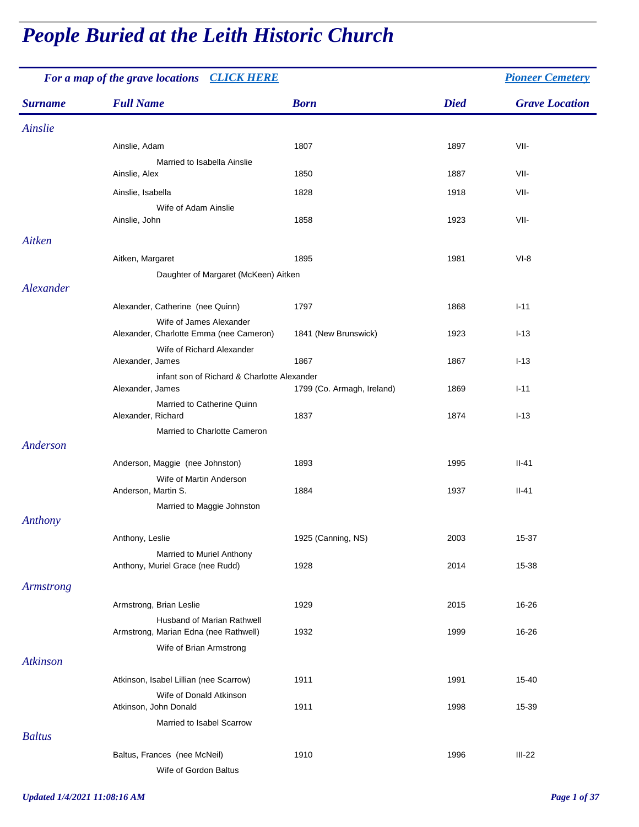# *People Buried at the Leith Historic Church*

| For a map of the grave locations CLICK HERE |                                                                            |                            |             | <b>Pioneer Cemetery</b> |
|---------------------------------------------|----------------------------------------------------------------------------|----------------------------|-------------|-------------------------|
| <b>Surname</b>                              | <b>Full Name</b>                                                           | <b>Born</b>                | <b>Died</b> | <b>Grave Location</b>   |
| Ainslie                                     |                                                                            |                            |             |                         |
|                                             | Ainslie, Adam                                                              | 1807                       | 1897        | VII-                    |
|                                             | Married to Isabella Ainslie<br>Ainslie, Alex                               | 1850                       | 1887        | VII-                    |
|                                             | Ainslie, Isabella                                                          | 1828                       | 1918        | VII-                    |
|                                             | Wife of Adam Ainslie<br>Ainslie, John                                      | 1858                       | 1923        | VII-                    |
| Aitken                                      |                                                                            |                            |             |                         |
|                                             | Aitken, Margaret<br>Daughter of Margaret (McKeen) Aitken                   | 1895                       | 1981        | $VI-8$                  |
| Alexander                                   |                                                                            |                            |             |                         |
|                                             | Alexander, Catherine (nee Quinn)<br>Wife of James Alexander                | 1797                       | 1868        | $I-11$                  |
|                                             | Alexander, Charlotte Emma (nee Cameron)<br>Wife of Richard Alexander       | 1841 (New Brunswick)       | 1923        | $I-13$                  |
|                                             | Alexander, James                                                           | 1867                       | 1867        | $I-13$                  |
|                                             | infant son of Richard & Charlotte Alexander<br>Alexander, James            | 1799 (Co. Armagh, Ireland) | 1869        | $I-11$                  |
|                                             | Married to Catherine Quinn<br>Alexander, Richard                           | 1837                       | 1874        | $I-13$                  |
| Anderson                                    | Married to Charlotte Cameron                                               |                            |             |                         |
|                                             | Anderson, Maggie (nee Johnston)                                            | 1893                       | 1995        | $II-41$                 |
|                                             | Wife of Martin Anderson<br>Anderson, Martin S.                             | 1884                       | 1937        | $II-41$                 |
|                                             | Married to Maggie Johnston                                                 |                            |             |                         |
| Anthony                                     |                                                                            |                            |             |                         |
|                                             | Anthony, Leslie                                                            | 1925 (Canning, NS)         | 2003        | 15-37                   |
|                                             | Married to Muriel Anthony<br>Anthony, Muriel Grace (nee Rudd)              | 1928                       | 2014        | 15-38                   |
| <b>Armstrong</b>                            |                                                                            |                            |             |                         |
|                                             | Armstrong, Brian Leslie                                                    | 1929                       | 2015        | 16-26                   |
|                                             | <b>Husband of Marian Rathwell</b><br>Armstrong, Marian Edna (nee Rathwell) | 1932                       | 1999        | 16-26                   |
| Atkinson                                    | Wife of Brian Armstrong                                                    |                            |             |                         |
|                                             | Atkinson, Isabel Lillian (nee Scarrow)                                     | 1911                       | 1991        | 15-40                   |
|                                             | Wife of Donald Atkinson<br>Atkinson, John Donald                           | 1911                       | 1998        | 15-39                   |
|                                             | Married to Isabel Scarrow                                                  |                            |             |                         |
| <b>Baltus</b>                               |                                                                            |                            |             |                         |
|                                             | Baltus, Frances (nee McNeil)<br>Wife of Gordon Baltus                      | 1910                       | 1996        | $III-22$                |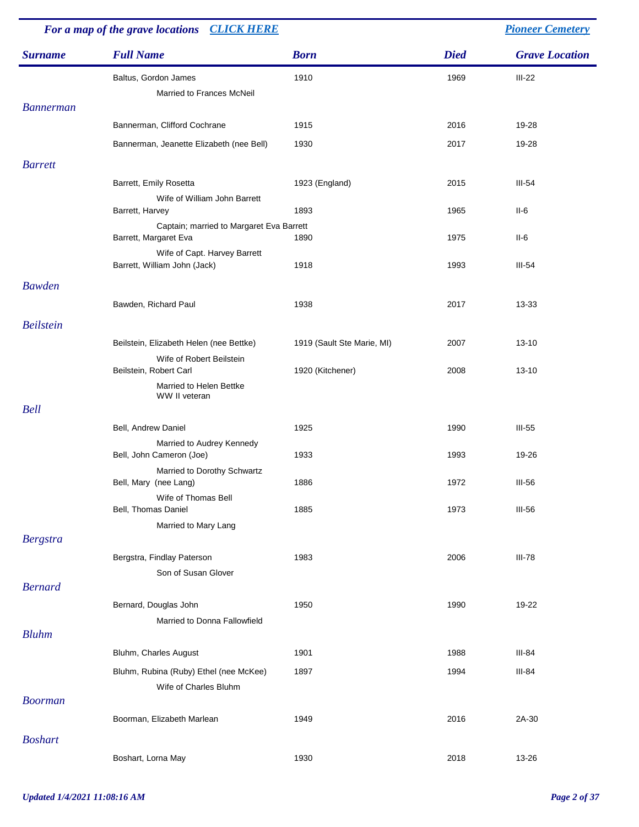| For a map of the grave locations CLICK HERE |                                                                   |                            |             | <b>Pioneer Cemetery</b> |
|---------------------------------------------|-------------------------------------------------------------------|----------------------------|-------------|-------------------------|
| <b>Surname</b>                              | <b>Full Name</b>                                                  | <b>Born</b>                | <b>Died</b> | <b>Grave Location</b>   |
|                                             | Baltus, Gordon James                                              | 1910                       | 1969        | $III-22$                |
|                                             | Married to Frances McNeil                                         |                            |             |                         |
| <b>Bannerman</b>                            |                                                                   |                            |             |                         |
|                                             | Bannerman, Clifford Cochrane                                      | 1915                       | 2016        | 19-28                   |
|                                             | Bannerman, Jeanette Elizabeth (nee Bell)                          | 1930                       | 2017        | 19-28                   |
| <b>Barrett</b>                              |                                                                   |                            |             |                         |
|                                             | Barrett, Emily Rosetta                                            | 1923 (England)             | 2015        | $III-54$                |
|                                             | Wife of William John Barrett                                      |                            |             |                         |
|                                             | Barrett, Harvey                                                   | 1893                       | 1965        | II-6                    |
|                                             | Captain; married to Margaret Eva Barrett<br>Barrett, Margaret Eva | 1890                       | 1975        | II-6                    |
|                                             | Wife of Capt. Harvey Barrett<br>Barrett, William John (Jack)      | 1918                       | 1993        | $III-54$                |
| <b>Bawden</b>                               |                                                                   |                            |             |                         |
|                                             | Bawden, Richard Paul                                              | 1938                       | 2017        | 13-33                   |
| <b>Beilstein</b>                            |                                                                   |                            |             |                         |
|                                             | Beilstein, Elizabeth Helen (nee Bettke)                           | 1919 (Sault Ste Marie, MI) | 2007        | $13 - 10$               |
|                                             | Wife of Robert Beilstein<br>Beilstein, Robert Carl                | 1920 (Kitchener)           | 2008        | $13 - 10$               |
|                                             | Married to Helen Bettke                                           |                            |             |                         |
| <b>Bell</b>                                 | WW II veteran                                                     |                            |             |                         |
|                                             | Bell, Andrew Daniel                                               | 1925                       | 1990        | $III-55$                |
|                                             | Married to Audrey Kennedy                                         |                            |             |                         |
|                                             | Bell, John Cameron (Joe)                                          | 1933                       | 1993        | 19-26                   |
|                                             | Married to Dorothy Schwartz<br>Bell, Mary (nee Lang)              | 1886                       | 1972        | $III-56$                |
|                                             | Wife of Thomas Bell<br>Bell, Thomas Daniel                        | 1885                       | 1973        | <b>III-56</b>           |
|                                             | Married to Mary Lang                                              |                            |             |                         |
| <b>Bergstra</b>                             |                                                                   |                            |             |                         |
|                                             | Bergstra, Findlay Paterson                                        | 1983                       | 2006        | $III-78$                |
|                                             | Son of Susan Glover                                               |                            |             |                         |
| <b>Bernard</b>                              |                                                                   |                            |             |                         |
|                                             | Bernard, Douglas John                                             | 1950                       | 1990        | 19-22                   |
|                                             | Married to Donna Fallowfield                                      |                            |             |                         |
| <b>Bluhm</b>                                |                                                                   |                            |             |                         |
|                                             | Bluhm, Charles August                                             | 1901                       | 1988        | III-84                  |
|                                             | Bluhm, Rubina (Ruby) Ethel (nee McKee)<br>Wife of Charles Bluhm   | 1897                       | 1994        | $III-84$                |
| <b>Boorman</b>                              |                                                                   |                            |             |                         |
|                                             | Boorman, Elizabeth Marlean                                        | 1949                       | 2016        | 2A-30                   |
| <b>Boshart</b>                              |                                                                   |                            |             |                         |
|                                             | Boshart, Lorna May                                                | 1930                       | 2018        | 13-26                   |
|                                             |                                                                   |                            |             |                         |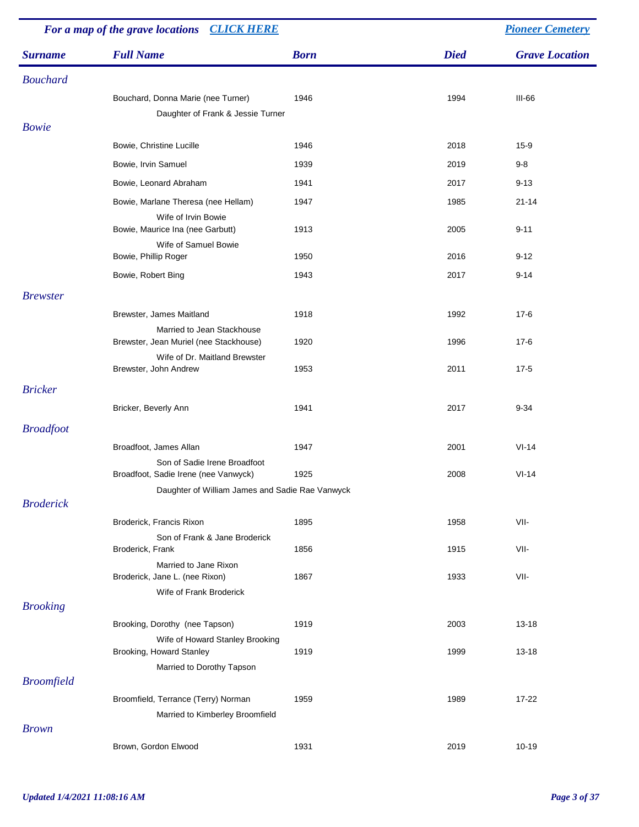| For a map of the grave locations CLICK HERE |                                                                        |             |             | <b>Pioneer Cemetery</b> |
|---------------------------------------------|------------------------------------------------------------------------|-------------|-------------|-------------------------|
| <b>Surname</b>                              | <b>Full Name</b>                                                       | <b>Born</b> | <b>Died</b> | <b>Grave Location</b>   |
| <b>Bouchard</b>                             |                                                                        |             |             |                         |
|                                             | Bouchard, Donna Marie (nee Turner)                                     | 1946        | 1994        | $III-66$                |
|                                             | Daughter of Frank & Jessie Turner                                      |             |             |                         |
| <b>Bowie</b>                                |                                                                        |             |             |                         |
|                                             | Bowie, Christine Lucille                                               | 1946        | 2018        | $15-9$                  |
|                                             | Bowie, Irvin Samuel                                                    | 1939        | 2019        | $9-8$                   |
|                                             | Bowie, Leonard Abraham                                                 | 1941        | 2017        | $9 - 13$                |
|                                             | Bowie, Marlane Theresa (nee Hellam)<br>Wife of Irvin Bowie             | 1947        | 1985        | $21 - 14$               |
|                                             | Bowie, Maurice Ina (nee Garbutt)                                       | 1913        | 2005        | $9 - 11$                |
|                                             | Wife of Samuel Bowie<br>Bowie, Phillip Roger                           | 1950        | 2016        | $9 - 12$                |
|                                             | Bowie, Robert Bing                                                     | 1943        | 2017        | $9 - 14$                |
| <b>Brewster</b>                             |                                                                        |             |             |                         |
|                                             | Brewster, James Maitland                                               | 1918        | 1992        | $17-6$                  |
|                                             | Married to Jean Stackhouse<br>Brewster, Jean Muriel (nee Stackhouse)   | 1920        | 1996        | $17-6$                  |
|                                             | Wife of Dr. Maitland Brewster<br>Brewster, John Andrew                 | 1953        | 2011        | $17-5$                  |
| <b>Bricker</b>                              |                                                                        |             |             |                         |
|                                             | Bricker, Beverly Ann                                                   | 1941        | 2017        | $9 - 34$                |
| <b>Broadfoot</b>                            |                                                                        |             |             |                         |
|                                             | Broadfoot, James Allan                                                 | 1947        | 2001        | $VI-14$                 |
|                                             | Son of Sadie Irene Broadfoot<br>Broadfoot, Sadie Irene (nee Vanwyck)   | 1925        | 2008        | $VI-14$                 |
|                                             | Daughter of William James and Sadie Rae Vanwyck                        |             |             |                         |
| <b>Broderick</b>                            |                                                                        |             |             |                         |
|                                             | Broderick, Francis Rixon<br>Son of Frank & Jane Broderick              | 1895        | 1958        | VII-                    |
|                                             | Broderick, Frank                                                       | 1856        | 1915        | VII-                    |
|                                             | Married to Jane Rixon<br>Broderick, Jane L. (nee Rixon)                | 1867        | 1933        | VII-                    |
|                                             | Wife of Frank Broderick                                                |             |             |                         |
| <b>Brooking</b>                             |                                                                        |             |             |                         |
|                                             | Brooking, Dorothy (nee Tapson)                                         | 1919        | 2003        | 13-18                   |
|                                             | Wife of Howard Stanley Brooking<br>Brooking, Howard Stanley            | 1919        | 1999        | $13 - 18$               |
|                                             | Married to Dorothy Tapson                                              |             |             |                         |
| <b>Broomfield</b>                           |                                                                        |             |             |                         |
|                                             | Broomfield, Terrance (Terry) Norman<br>Married to Kimberley Broomfield | 1959        | 1989        | 17-22                   |
| <b>Brown</b>                                |                                                                        |             |             |                         |
|                                             | Brown, Gordon Elwood                                                   | 1931        | 2019        | $10 - 19$               |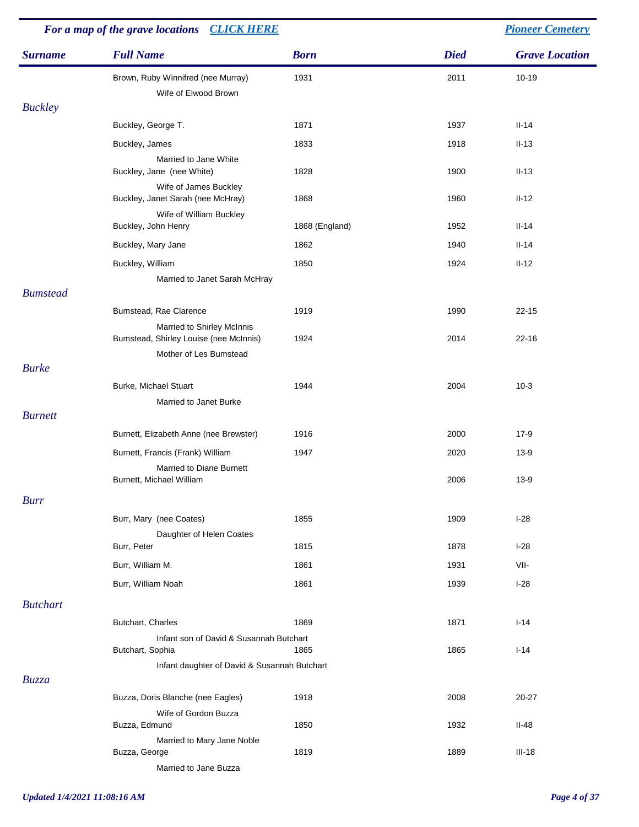|                 | For a map of the grave locations CLICK HERE                          |                |             | <b>Pioneer Cemetery</b> |
|-----------------|----------------------------------------------------------------------|----------------|-------------|-------------------------|
| <b>Surname</b>  | <b>Full Name</b>                                                     | <b>Born</b>    | <b>Died</b> | <b>Grave Location</b>   |
|                 | Brown, Ruby Winnifred (nee Murray)                                   | 1931           | 2011        | $10 - 19$               |
|                 | Wife of Elwood Brown                                                 |                |             |                         |
| <b>Buckley</b>  |                                                                      |                |             |                         |
|                 | Buckley, George T.                                                   | 1871           | 1937        | $II-14$                 |
|                 | Buckley, James                                                       | 1833           | 1918        | $II-13$                 |
|                 | Married to Jane White<br>Buckley, Jane (nee White)                   | 1828           | 1900        | $II-13$                 |
|                 | Wife of James Buckley<br>Buckley, Janet Sarah (nee McHray)           | 1868           | 1960        | $II-12$                 |
|                 | Wife of William Buckley<br>Buckley, John Henry                       | 1868 (England) | 1952        | $II-14$                 |
|                 | Buckley, Mary Jane                                                   | 1862           | 1940        | $II-14$                 |
|                 | Buckley, William                                                     | 1850           | 1924        | $II-12$                 |
|                 | Married to Janet Sarah McHray                                        |                |             |                         |
| <b>Bumstead</b> |                                                                      |                |             |                         |
|                 | Bumstead, Rae Clarence                                               | 1919           | 1990        | $22 - 15$               |
|                 | Married to Shirley McInnis<br>Bumstead, Shirley Louise (nee McInnis) | 1924           | 2014        | $22 - 16$               |
|                 | Mother of Les Bumstead                                               |                |             |                         |
| <b>Burke</b>    |                                                                      |                |             |                         |
|                 | Burke, Michael Stuart                                                | 1944           | 2004        | $10-3$                  |
|                 | Married to Janet Burke                                               |                |             |                         |
| <b>Burnett</b>  |                                                                      |                |             |                         |
|                 | Burnett, Elizabeth Anne (nee Brewster)                               | 1916           | 2000        | $17-9$                  |
|                 | Burnett, Francis (Frank) William                                     | 1947           | 2020        | $13-9$                  |
|                 | <b>Married to Diane Burnett</b><br>Burnett, Michael William          |                | 2006        | $13-9$                  |
|                 |                                                                      |                |             |                         |
| <b>Burr</b>     |                                                                      |                |             |                         |
|                 | Burr, Mary (nee Coates)                                              | 1855           | 1909        | $1-28$                  |
|                 | Daughter of Helen Coates<br>Burr, Peter                              | 1815           | 1878        | $I-28$                  |
|                 | Burr, William M.                                                     | 1861           | 1931        | VII-                    |
|                 | Burr, William Noah                                                   |                |             |                         |
|                 |                                                                      | 1861           | 1939        | $I-28$                  |
| <b>Butchart</b> |                                                                      |                |             |                         |
|                 | Butchart, Charles                                                    | 1869           | 1871        | $I-14$                  |
|                 | Infant son of David & Susannah Butchart<br>Butchart, Sophia          | 1865           | 1865        | $I - 14$                |
|                 | Infant daughter of David & Susannah Butchart                         |                |             |                         |
| Buzza           |                                                                      |                |             |                         |
|                 | Buzza, Doris Blanche (nee Eagles)                                    | 1918           | 2008        | 20-27                   |
|                 | Wife of Gordon Buzza<br>Buzza, Edmund                                | 1850           | 1932        | $II-48$                 |
|                 | Married to Mary Jane Noble<br>Buzza, George                          | 1819           | 1889        | $III-18$                |
|                 | Married to Jane Buzza                                                |                |             |                         |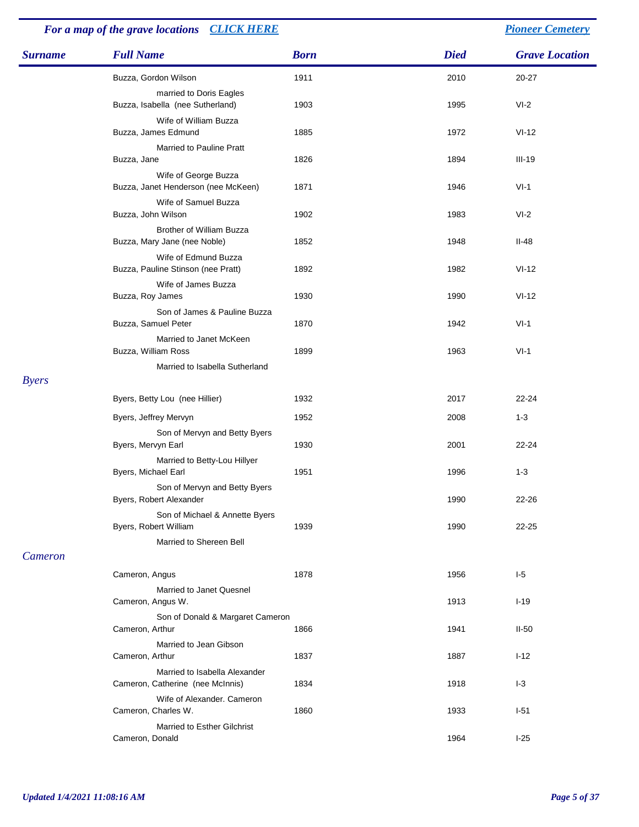#### *Surname Full Name Born Died Grave Location For a map of the grave locations [CLICK HERE](http://www.leithchurch.ca/cemeterymap.jpg) [Pioneer Cemetery](http://www.leithchurch.ca/Cemetery.htm)* Buzza, Gordon Wilson 1911 2010 20-27 married to Doris Eagles Buzza, Isabella (nee Sutherland) 1903 1995 1995 VI-2 Wife of William Buzza Buzza, James Edmund 1885 1972 VI-12 Married to Pauline Pratt Buzza, Jane 1894 ili-19 ili-19 ili-19 ili-19 ili-19 ili-19 ili-19 ili-19 ili-19 ili-19 ili-19 ili-19 ili-19 il Wife of George Buzza Buzza, Janet Henderson (nee McKeen) 1871 1946 1946 1946 VI-1 Wife of Samuel Buzza Buzza, John Wilson 1902 1983 VI-2 Brother of William Buzza Buzza, Mary Jane (nee Noble) 1852 1948 1948 II-48 Wife of Edmund Buzza Buzza, Pauline Stinson (nee Pratt) 1892 1982 1982 VI-12 Wife of James Buzza Buzza, Roy James 1930 1990 VI-12 Son of James & Pauline Buzza Buzza, Samuel Peter 1870 1870 1942 VI-1 Married to Janet McKeen Buzza, William Ross and the Communication of the 1899 1963 1963 VI-1 Married to Isabella Sutherland *Byers* Byers, Betty Lou (nee Hillier) 1932 1932 2017 22-24 Byers, Jeffrey Mervyn 1952 1952 1962 2008 1-3 Son of Mervyn and Betty Byers Byers, Mervyn Earl 22-24 2001 22-24 Married to Betty-Lou Hillyer Byers, Michael Earl 1951 1951 1996 1-3 Son of Mervyn and Betty Byers Byers, Robert Alexander 1990 22-26 Son of Michael & Annette Byers Byers, Robert William 1939 1990 1990 22-25 Married to Shereen Bell *Cameron* Cameron, Angus 1878 1956 I-5 Married to Janet Quesnel Cameron, Angus W. 1913 and 1913 I-19 and 1913 I-19 and 1913 I-19 and 1913 I-19 and 1913 I-19 and 1913 I-19 and 1913 Son of Donald & Margaret Cameron Cameron, Arthur 1941 1866 1941 1866 1941 1866 1941 1850 1941 1850 1941 1850 1941 1850 1860 1872 1886 1897 1898 1898 1898 1899 1898 1899 1898 1899 1899 1898 1899 1899 1899 1899 1899 1899 1899 1899 1899 1899 1899 1899 1899 1 Married to Jean Gibson Cameron, Arthur 1837 1887 1887 1887 1887 1-12 Married to Isabella Alexander Cameron, Catherine (nee McInnis) 1834 1918 1-3 Wife of Alexander. Cameron Cameron, Charles W. 1933 I-51 Married to Esther Gilchrist Cameron, Donald **1964 I-25**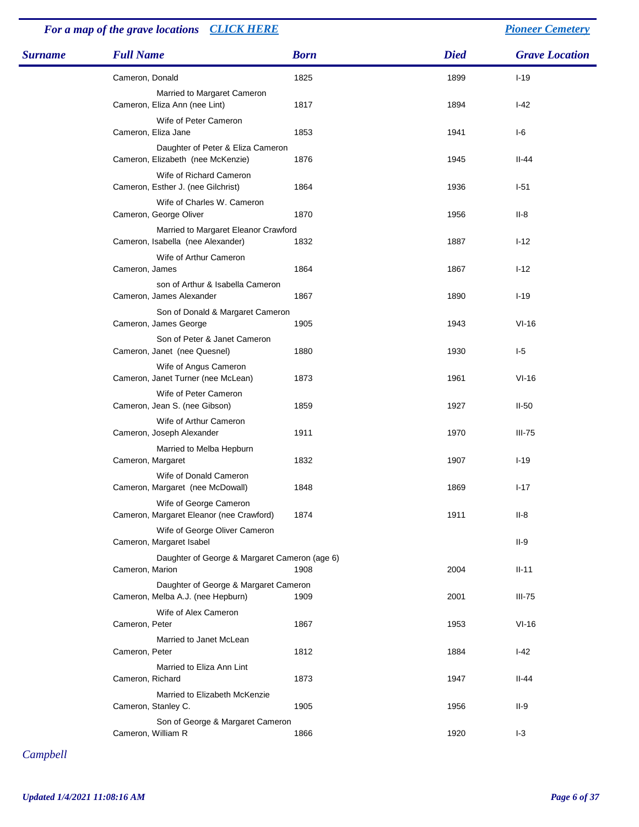## *For a map of the grave locations [CLICK HERE](http://www.leithchurch.ca/cemeterymap.jpg) [Pioneer Cemetery](http://www.leithchurch.ca/Cemetery.htm)*

| <b>Surname</b> | <b>Full Name</b>                                                           | <b>Born</b> | <b>Died</b> | <b>Grave Location</b> |
|----------------|----------------------------------------------------------------------------|-------------|-------------|-----------------------|
|                | Cameron, Donald                                                            | 1825        | 1899        | $I-19$                |
|                | Married to Margaret Cameron<br>Cameron, Eliza Ann (nee Lint)               | 1817        | 1894        | $I-42$                |
|                | Wife of Peter Cameron<br>Cameron, Eliza Jane                               | 1853        | 1941        | $I-6$                 |
|                | Daughter of Peter & Eliza Cameron<br>Cameron, Elizabeth (nee McKenzie)     | 1876        | 1945        | $II-44$               |
|                | Wife of Richard Cameron<br>Cameron, Esther J. (nee Gilchrist)              | 1864        | 1936        | $I-51$                |
|                | Wife of Charles W. Cameron<br>Cameron, George Oliver                       | 1870        | 1956        | II-8                  |
|                | Married to Margaret Eleanor Crawford<br>Cameron, Isabella (nee Alexander)  | 1832        | 1887        | $I-12$                |
|                | Wife of Arthur Cameron<br>Cameron, James                                   | 1864        | 1867        | $I-12$                |
|                | son of Arthur & Isabella Cameron<br>Cameron, James Alexander               | 1867        | 1890        | $I-19$                |
|                | Son of Donald & Margaret Cameron<br>Cameron, James George                  | 1905        | 1943        | $VI-16$               |
|                | Son of Peter & Janet Cameron<br>Cameron, Janet (nee Quesnel)               | 1880        | 1930        | $I-5$                 |
|                | Wife of Angus Cameron<br>Cameron, Janet Turner (nee McLean)                | 1873        | 1961        | $VI-16$               |
|                | Wife of Peter Cameron<br>Cameron, Jean S. (nee Gibson)                     | 1859        | 1927        | $II-50$               |
|                | Wife of Arthur Cameron<br>Cameron, Joseph Alexander                        | 1911        | 1970        | $III-75$              |
|                | Married to Melba Hepburn<br>Cameron, Margaret                              | 1832        | 1907        | $I-19$                |
|                | Wife of Donald Cameron<br>Cameron, Margaret (nee McDowall)                 | 1848        | 1869        | $I - 17$              |
|                | Wife of George Cameron<br>Cameron, Margaret Eleanor (nee Crawford)         | 1874        | 1911        | $II-8$                |
|                | Wife of George Oliver Cameron<br>Cameron, Margaret Isabel                  |             |             | $II-9$                |
|                | Daughter of George & Margaret Cameron (age 6)<br>Cameron, Marion           | 1908        | 2004        | $II-11$               |
|                | Daughter of George & Margaret Cameron<br>Cameron, Melba A.J. (nee Hepburn) | 1909        | 2001        | $III-75$              |
|                | Wife of Alex Cameron<br>Cameron, Peter                                     | 1867        | 1953        | $VI-16$               |
|                | Married to Janet McLean<br>Cameron, Peter                                  | 1812        | 1884        | $I-42$                |
|                | Married to Eliza Ann Lint<br>Cameron, Richard                              | 1873        | 1947        | $II-44$               |
|                | Married to Elizabeth McKenzie<br>Cameron, Stanley C.                       | 1905        | 1956        | $II-9$                |
|                | Son of George & Margaret Cameron<br>Cameron, William R                     | 1866        | 1920        | $I-3$                 |

*Campbell*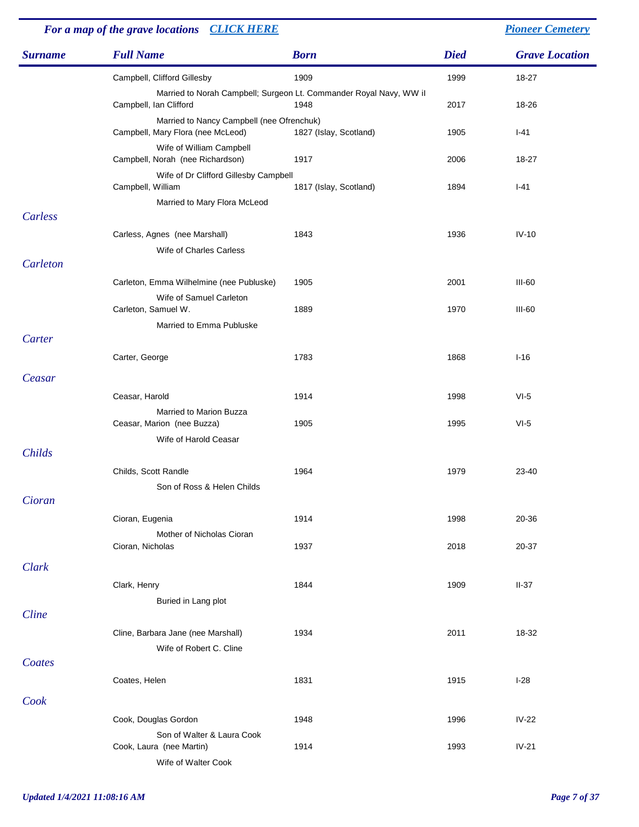| For a map of the grave locations CLICK HERE |                                                                                |                                                                            |             | <b>Pioneer Cemetery</b> |
|---------------------------------------------|--------------------------------------------------------------------------------|----------------------------------------------------------------------------|-------------|-------------------------|
| <b>Surname</b>                              | <b>Full Name</b>                                                               | <b>Born</b>                                                                | <b>Died</b> | <b>Grave Location</b>   |
|                                             | Campbell, Clifford Gillesby                                                    | 1909                                                                       | 1999        | 18-27                   |
|                                             | Campbell, Ian Clifford                                                         | Married to Norah Campbell; Surgeon Lt. Commander Royal Navy, WW il<br>1948 | 2017        | 18-26                   |
|                                             | Married to Nancy Campbell (nee Ofrenchuk)<br>Campbell, Mary Flora (nee McLeod) | 1827 (Islay, Scotland)                                                     | 1905        | $I-41$                  |
|                                             | Wife of William Campbell<br>Campbell, Norah (nee Richardson)                   | 1917                                                                       | 2006        | 18-27                   |
|                                             | Wife of Dr Clifford Gillesby Campbell<br>Campbell, William                     | 1817 (Islay, Scotland)                                                     | 1894        | $I-41$                  |
|                                             | Married to Mary Flora McLeod                                                   |                                                                            |             |                         |
| Carless                                     |                                                                                |                                                                            |             |                         |
|                                             | Carless, Agnes (nee Marshall)                                                  | 1843                                                                       | 1936        | $IV-10$                 |
| Carleton                                    | Wife of Charles Carless                                                        |                                                                            |             |                         |
|                                             | Carleton, Emma Wilhelmine (nee Publuske)                                       | 1905                                                                       | 2001        | III-60                  |
|                                             | Wife of Samuel Carleton                                                        |                                                                            |             |                         |
|                                             | Carleton, Samuel W.                                                            | 1889                                                                       | 1970        | <b>III-60</b>           |
|                                             | Married to Emma Publuske                                                       |                                                                            |             |                         |
| Carter                                      |                                                                                |                                                                            |             |                         |
|                                             | Carter, George                                                                 | 1783                                                                       | 1868        | $I-16$                  |
| Ceasar                                      |                                                                                |                                                                            |             |                         |
|                                             | Ceasar, Harold                                                                 | 1914                                                                       | 1998        | $VI-5$                  |
|                                             | Married to Marion Buzza<br>Ceasar, Marion (nee Buzza)                          | 1905                                                                       | 1995        | $VI-5$                  |
|                                             | Wife of Harold Ceasar                                                          |                                                                            |             |                         |
| Childs                                      |                                                                                |                                                                            |             |                         |
|                                             | Childs, Scott Randle                                                           | 1964                                                                       | 1979        | 23-40                   |
|                                             | Son of Ross & Helen Childs                                                     |                                                                            |             |                         |
| Cioran                                      |                                                                                |                                                                            |             |                         |
|                                             | Cioran, Eugenia                                                                | 1914                                                                       | 1998        | 20-36                   |
|                                             | Mother of Nicholas Cioran<br>Cioran, Nicholas                                  | 1937                                                                       | 2018        | 20-37                   |
| Clark                                       |                                                                                |                                                                            |             |                         |
|                                             | Clark, Henry                                                                   | 1844                                                                       | 1909        | $II-37$                 |
|                                             | Buried in Lang plot                                                            |                                                                            |             |                         |
| Cline                                       |                                                                                |                                                                            |             |                         |
|                                             | Cline, Barbara Jane (nee Marshall)                                             | 1934                                                                       | 2011        | 18-32                   |
|                                             | Wife of Robert C. Cline                                                        |                                                                            |             |                         |
| Coates                                      |                                                                                |                                                                            |             |                         |
|                                             | Coates, Helen                                                                  | 1831                                                                       | 1915        | $I-28$                  |
| Cook                                        |                                                                                |                                                                            |             |                         |
|                                             | Cook, Douglas Gordon                                                           | 1948                                                                       | 1996        | $IV-22$                 |
|                                             | Son of Walter & Laura Cook<br>Cook, Laura (nee Martin)                         | 1914                                                                       | 1993        | $IV-21$                 |
|                                             | Wife of Walter Cook                                                            |                                                                            |             |                         |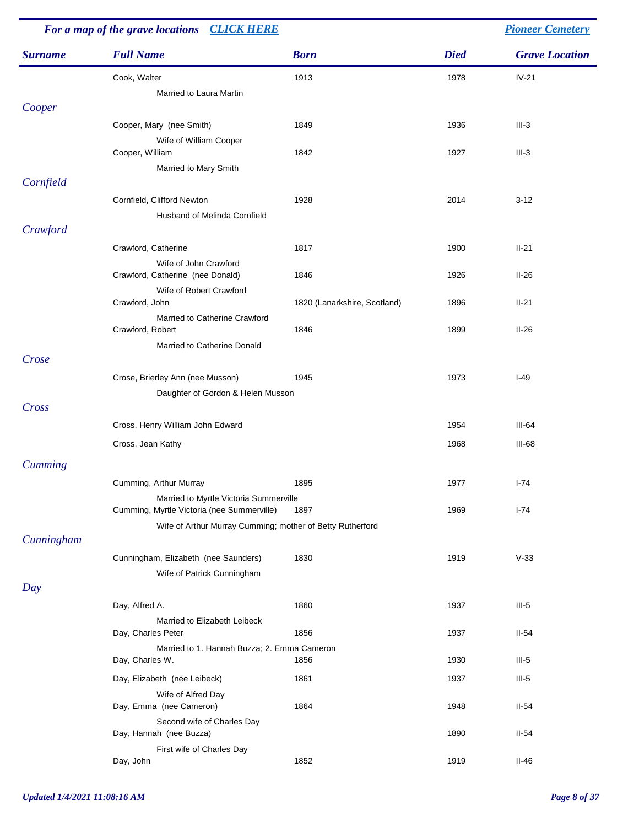| For a map of the grave locations CLICK HERE |                                                           |                              |             | <b>Pioneer Cemetery</b> |
|---------------------------------------------|-----------------------------------------------------------|------------------------------|-------------|-------------------------|
| <b>Surname</b>                              | <b>Full Name</b>                                          | <b>Born</b>                  | <b>Died</b> | <b>Grave Location</b>   |
|                                             | Cook, Walter                                              | 1913                         | 1978        | $IV-21$                 |
|                                             | Married to Laura Martin                                   |                              |             |                         |
| Cooper                                      |                                                           |                              |             |                         |
|                                             | Cooper, Mary (nee Smith)                                  | 1849                         | 1936        | $III-3$                 |
|                                             | Wife of William Cooper                                    |                              |             |                         |
|                                             | Cooper, William                                           | 1842                         | 1927        | $III-3$                 |
|                                             | Married to Mary Smith                                     |                              |             |                         |
| Cornfield                                   |                                                           |                              |             |                         |
|                                             | Cornfield, Clifford Newton                                | 1928                         | 2014        | $3 - 12$                |
|                                             | Husband of Melinda Cornfield                              |                              |             |                         |
| Crawford                                    |                                                           |                              |             |                         |
|                                             | Crawford, Catherine                                       | 1817                         | 1900        | $II-21$                 |
|                                             | Wife of John Crawford<br>Crawford, Catherine (nee Donald) | 1846                         | 1926        | $II-26$                 |
|                                             | Wife of Robert Crawford                                   |                              |             |                         |
|                                             | Crawford, John                                            | 1820 (Lanarkshire, Scotland) | 1896        | $II-21$                 |
|                                             | Married to Catherine Crawford                             |                              |             |                         |
|                                             | Crawford, Robert                                          | 1846                         | 1899        | $II-26$                 |
|                                             | Married to Catherine Donald                               |                              |             |                         |
| Crose                                       |                                                           |                              |             |                         |
|                                             | Crose, Brierley Ann (nee Musson)                          | 1945                         | 1973        | $I-49$                  |
| Cross                                       | Daughter of Gordon & Helen Musson                         |                              |             |                         |
|                                             |                                                           |                              |             |                         |
|                                             | Cross, Henry William John Edward                          |                              | 1954        | $III-64$                |
|                                             | Cross, Jean Kathy                                         |                              | 1968        | $III-68$                |
| <b>Cumming</b>                              |                                                           |                              |             |                         |
|                                             | Cumming, Arthur Murray                                    | 1895                         | 1977        | $I - 74$                |
|                                             | Married to Myrtle Victoria Summerville                    |                              |             |                         |
|                                             | Cumming, Myrtle Victoria (nee Summerville)                | 1897                         | 1969        | $I - 74$                |
|                                             | Wife of Arthur Murray Cumming; mother of Betty Rutherford |                              |             |                         |
| Cunningham                                  |                                                           |                              |             |                         |
|                                             | Cunningham, Elizabeth (nee Saunders)                      | 1830                         | 1919        | $V-33$                  |
|                                             | Wife of Patrick Cunningham                                |                              |             |                         |
| Day                                         |                                                           |                              |             |                         |
|                                             | Day, Alfred A.                                            | 1860                         | 1937        | $III-5$                 |
|                                             | Married to Elizabeth Leibeck<br>Day, Charles Peter        | 1856                         | 1937        | $II-54$                 |
|                                             | Married to 1. Hannah Buzza; 2. Emma Cameron               |                              |             |                         |
|                                             | Day, Charles W.                                           | 1856                         | 1930        | $III-5$                 |
|                                             | Day, Elizabeth (nee Leibeck)                              | 1861                         | 1937        | $III-5$                 |
|                                             | Wife of Alfred Day                                        |                              |             |                         |
|                                             | Day, Emma (nee Cameron)                                   | 1864                         | 1948        | $II-54$                 |
|                                             | Second wife of Charles Day                                |                              |             |                         |
|                                             | Day, Hannah (nee Buzza)<br>First wife of Charles Day      |                              | 1890        | $II-54$                 |
|                                             | Day, John                                                 | 1852                         | 1919        | $II-46$                 |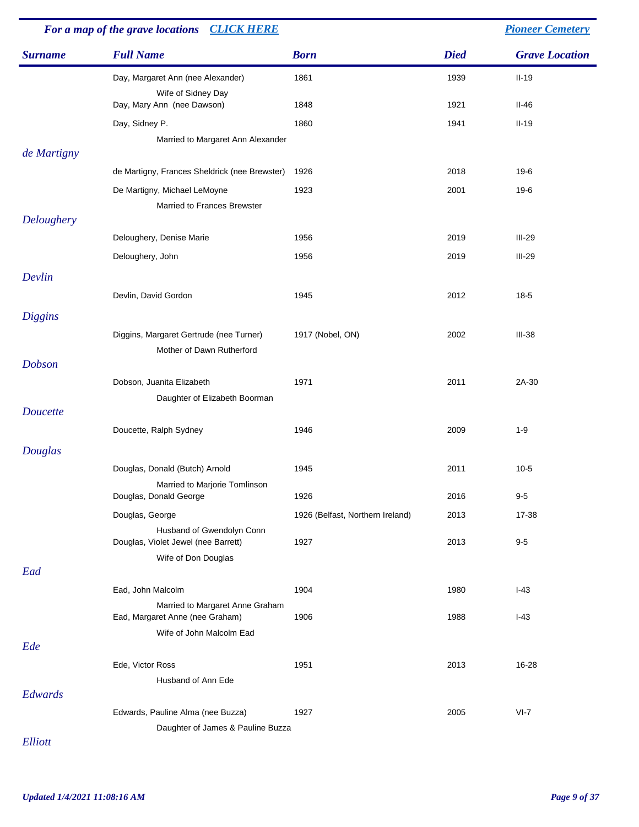|                | For a map of the grave locations CLICK HERE                          |                                  | <b>Pioneer Cemetery</b> |                       |  |
|----------------|----------------------------------------------------------------------|----------------------------------|-------------------------|-----------------------|--|
| <b>Surname</b> | <b>Full Name</b>                                                     | <b>Born</b>                      | <b>Died</b>             | <b>Grave Location</b> |  |
|                | Day, Margaret Ann (nee Alexander)<br>Wife of Sidney Day              | 1861                             | 1939                    | $II-19$               |  |
|                | Day, Mary Ann (nee Dawson)                                           | 1848                             | 1921                    | $II-46$               |  |
|                | Day, Sidney P.                                                       | 1860                             | 1941                    | $II-19$               |  |
|                | Married to Margaret Ann Alexander                                    |                                  |                         |                       |  |
| de Martigny    |                                                                      |                                  |                         |                       |  |
|                | de Martigny, Frances Sheldrick (nee Brewster)                        | 1926                             | 2018                    | 19-6                  |  |
|                | De Martigny, Michael LeMoyne<br>Married to Frances Brewster          | 1923                             | 2001                    | 19-6                  |  |
| Deloughery     |                                                                      |                                  |                         |                       |  |
|                | Deloughery, Denise Marie                                             | 1956                             | 2019                    | $III-29$              |  |
|                | Deloughery, John                                                     | 1956                             | 2019                    | $III-29$              |  |
| Devlin         |                                                                      |                                  |                         |                       |  |
|                | Devlin, David Gordon                                                 | 1945                             | 2012                    | $18-5$                |  |
|                |                                                                      |                                  |                         |                       |  |
| <b>Diggins</b> |                                                                      |                                  |                         |                       |  |
|                | Diggins, Margaret Gertrude (nee Turner)<br>Mother of Dawn Rutherford | 1917 (Nobel, ON)                 | 2002                    | $III-38$              |  |
| <b>Dobson</b>  |                                                                      |                                  |                         |                       |  |
|                | Dobson, Juanita Elizabeth                                            | 1971                             | 2011                    | 2A-30                 |  |
|                | Daughter of Elizabeth Boorman                                        |                                  |                         |                       |  |
| Doucette       |                                                                      |                                  |                         |                       |  |
|                | Doucette, Ralph Sydney                                               | 1946                             | 2009                    | $1 - 9$               |  |
| Douglas        |                                                                      |                                  |                         |                       |  |
|                | Douglas, Donald (Butch) Arnold                                       | 1945                             | 2011                    | $10 - 5$              |  |
|                | Married to Marjorie Tomlinson                                        |                                  |                         |                       |  |
|                | Douglas, Donald George                                               | 1926                             | 2016                    | $9 - 5$               |  |
|                | Douglas, George                                                      | 1926 (Belfast, Northern Ireland) | 2013                    | 17-38                 |  |
|                | Husband of Gwendolyn Conn<br>Douglas, Violet Jewel (nee Barrett)     | 1927                             | 2013                    | $9-5$                 |  |
|                | Wife of Don Douglas                                                  |                                  |                         |                       |  |
| Ead            |                                                                      |                                  |                         |                       |  |
|                | Ead, John Malcolm                                                    | 1904                             | 1980                    | $I-43$                |  |
|                | Married to Margaret Anne Graham<br>Ead, Margaret Anne (nee Graham)   | 1906                             | 1988                    | $I-43$                |  |
|                | Wife of John Malcolm Ead                                             |                                  |                         |                       |  |
| Ede            |                                                                      |                                  |                         |                       |  |
|                | Ede, Victor Ross                                                     | 1951                             | 2013                    | 16-28                 |  |
|                | Husband of Ann Ede                                                   |                                  |                         |                       |  |
| Edwards        |                                                                      |                                  |                         |                       |  |
|                | Edwards, Pauline Alma (nee Buzza)                                    | 1927                             | 2005                    | $VI-7$                |  |
|                | Daughter of James & Pauline Buzza                                    |                                  |                         |                       |  |

*Elliott*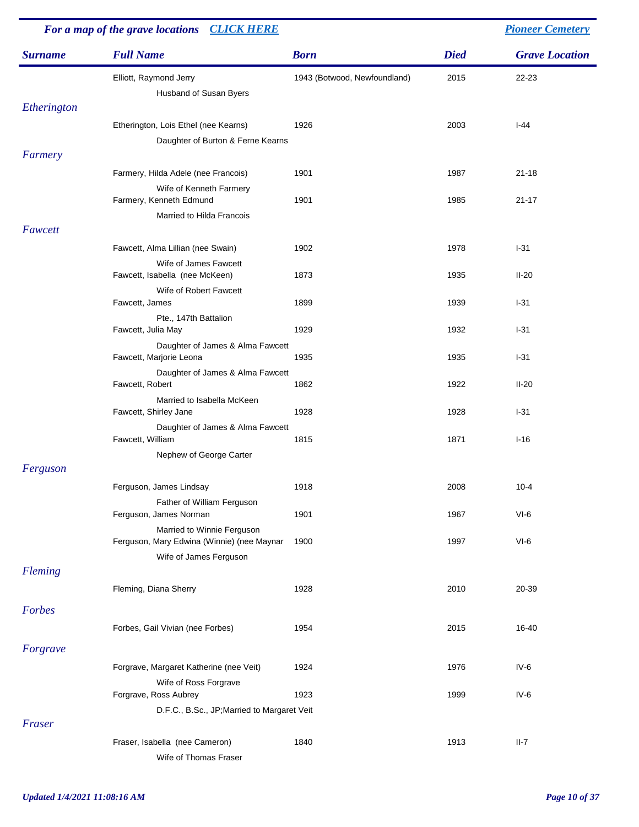| For a map of the grave locations CLICK HERE |                                                                                 |                              |             | <b>Pioneer Cemetery</b> |
|---------------------------------------------|---------------------------------------------------------------------------------|------------------------------|-------------|-------------------------|
| <b>Surname</b>                              | <b>Full Name</b>                                                                | <b>Born</b>                  | <b>Died</b> | <b>Grave Location</b>   |
|                                             | Elliott, Raymond Jerry<br>Husband of Susan Byers                                | 1943 (Botwood, Newfoundland) | 2015        | 22-23                   |
| Etherington                                 |                                                                                 |                              |             |                         |
|                                             | Etherington, Lois Ethel (nee Kearns)<br>Daughter of Burton & Ferne Kearns       | 1926                         | 2003        | $I-44$                  |
| Farmery                                     |                                                                                 |                              |             |                         |
|                                             | Farmery, Hilda Adele (nee Francois)                                             | 1901                         | 1987        | $21 - 18$               |
|                                             | Wife of Kenneth Farmery<br>Farmery, Kenneth Edmund<br>Married to Hilda Francois | 1901                         | 1985        | $21 - 17$               |
| Fawcett                                     |                                                                                 |                              |             |                         |
|                                             | Fawcett, Alma Lillian (nee Swain)                                               | 1902                         | 1978        | $I-31$                  |
|                                             | Wife of James Fawcett                                                           |                              |             |                         |
|                                             | Fawcett, Isabella (nee McKeen)<br>Wife of Robert Fawcett                        | 1873                         | 1935        | $II-20$                 |
|                                             | Fawcett, James                                                                  | 1899                         | 1939        | $I-31$                  |
|                                             | Pte., 147th Battalion<br>Fawcett, Julia May                                     | 1929                         | 1932        | $1-31$                  |
|                                             | Daughter of James & Alma Fawcett<br>Fawcett, Marjorie Leona                     | 1935                         | 1935        | $I-31$                  |
|                                             | Daughter of James & Alma Fawcett<br>Fawcett, Robert                             | 1862                         | 1922        | $II-20$                 |
|                                             | Married to Isabella McKeen<br>Fawcett, Shirley Jane                             | 1928                         | 1928        | $1-31$                  |
|                                             | Daughter of James & Alma Fawcett<br>Fawcett, William                            | 1815                         | 1871        | $I-16$                  |
|                                             | Nephew of George Carter                                                         |                              |             |                         |
| Ferguson                                    |                                                                                 |                              |             |                         |
|                                             | Ferguson, James Lindsay                                                         | 1918                         | 2008        | $10 - 4$                |
|                                             | Father of William Ferguson<br>Ferguson, James Norman                            | 1901                         | 1967        | $VI-6$                  |
|                                             | Married to Winnie Ferguson<br>Ferguson, Mary Edwina (Winnie) (nee Maynar        | 1900                         | 1997        | $VI-6$                  |
|                                             | Wife of James Ferguson                                                          |                              |             |                         |
| Fleming                                     |                                                                                 |                              |             |                         |
|                                             | Fleming, Diana Sherry                                                           | 1928                         | 2010        | 20-39                   |
| Forbes                                      |                                                                                 |                              |             |                         |
|                                             | Forbes, Gail Vivian (nee Forbes)                                                | 1954                         | 2015        | 16-40                   |
| Forgrave                                    |                                                                                 |                              |             |                         |
|                                             | Forgrave, Margaret Katherine (nee Veit)                                         | 1924                         | 1976        | $IV-6$                  |
|                                             | Wife of Ross Forgrave<br>Forgrave, Ross Aubrey                                  | 1923                         | 1999        | $IV-6$                  |
|                                             | D.F.C., B.Sc., JP; Married to Margaret Veit                                     |                              |             |                         |
| Fraser                                      |                                                                                 |                              |             |                         |
|                                             | Fraser, Isabella (nee Cameron)<br>Wife of Thomas Fraser                         | 1840                         | 1913        | $II-7$                  |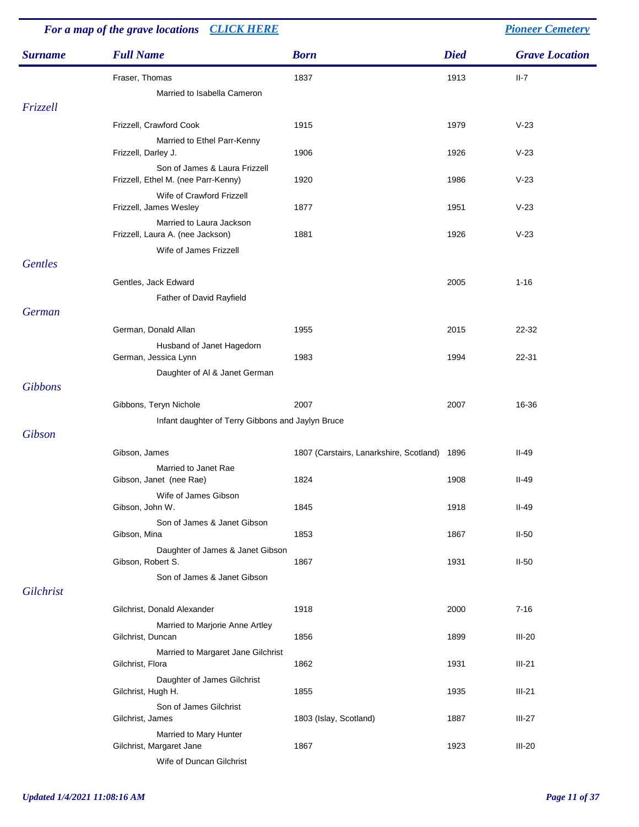| For a map of the grave locations CLICK HERE |                                                        | <b>Pioneer Cemetery</b>                      |             |                       |
|---------------------------------------------|--------------------------------------------------------|----------------------------------------------|-------------|-----------------------|
| <b>Surname</b>                              | <b>Full Name</b>                                       | <b>Born</b>                                  | <b>Died</b> | <b>Grave Location</b> |
|                                             | Fraser, Thomas                                         | 1837                                         | 1913        | $II-7$                |
|                                             | Married to Isabella Cameron                            |                                              |             |                       |
| Frizzell                                    |                                                        |                                              |             |                       |
|                                             | Frizzell, Crawford Cook                                | 1915                                         | 1979        | $V-23$                |
|                                             | Married to Ethel Parr-Kenny                            |                                              |             |                       |
|                                             | Frizzell, Darley J.<br>Son of James & Laura Frizzell   | 1906                                         | 1926        | $V-23$                |
|                                             | Frizzell, Ethel M. (nee Parr-Kenny)                    | 1920                                         | 1986        | $V-23$                |
|                                             | Wife of Crawford Frizzell<br>Frizzell, James Wesley    | 1877                                         | 1951        | $V-23$                |
|                                             | Married to Laura Jackson                               |                                              |             |                       |
|                                             | Frizzell, Laura A. (nee Jackson)                       | 1881                                         | 1926        | $V-23$                |
| <b>Gentles</b>                              | Wife of James Frizzell                                 |                                              |             |                       |
|                                             |                                                        |                                              |             |                       |
|                                             | Gentles, Jack Edward                                   |                                              | 2005        | $1 - 16$              |
| German                                      | Father of David Rayfield                               |                                              |             |                       |
|                                             |                                                        |                                              |             |                       |
|                                             | German, Donald Allan                                   | 1955                                         | 2015        | 22-32                 |
|                                             | Husband of Janet Hagedorn<br>German, Jessica Lynn      | 1983                                         | 1994        | 22-31                 |
|                                             | Daughter of Al & Janet German                          |                                              |             |                       |
| <b>Gibbons</b>                              |                                                        |                                              |             |                       |
|                                             | Gibbons, Teryn Nichole                                 | 2007                                         | 2007        | 16-36                 |
|                                             | Infant daughter of Terry Gibbons and Jaylyn Bruce      |                                              |             |                       |
| Gibson                                      |                                                        |                                              |             |                       |
|                                             | Gibson, James                                          | 1807 (Carstairs, Lanarkshire, Scotland) 1896 |             | $II-49$               |
|                                             | Married to Janet Rae                                   |                                              |             |                       |
|                                             | Gibson, Janet (nee Rae)                                | 1824                                         | 1908        | $II-49$               |
|                                             | Wife of James Gibson<br>Gibson, John W.                | 1845                                         | 1918        | $II-49$               |
|                                             | Son of James & Janet Gibson                            |                                              |             |                       |
|                                             | Gibson, Mina                                           | 1853                                         | 1867        | $II-50$               |
|                                             | Daughter of James & Janet Gibson                       |                                              |             |                       |
|                                             | Gibson, Robert S.                                      | 1867                                         | 1931        | $II-50$               |
| Gilchrist                                   | Son of James & Janet Gibson                            |                                              |             |                       |
|                                             |                                                        |                                              |             |                       |
|                                             | Gilchrist, Donald Alexander                            | 1918                                         | 2000        | $7 - 16$              |
|                                             | Married to Marjorie Anne Artley<br>Gilchrist, Duncan   | 1856                                         | 1899        | $III-20$              |
|                                             | Married to Margaret Jane Gilchrist<br>Gilchrist, Flora | 1862                                         | 1931        | $III-21$              |
|                                             | Daughter of James Gilchrist<br>Gilchrist, Hugh H.      | 1855                                         | 1935        | $III-21$              |
|                                             | Son of James Gilchrist<br>Gilchrist, James             | 1803 (Islay, Scotland)                       | 1887        | $III-27$              |
|                                             | Married to Mary Hunter                                 |                                              |             |                       |
|                                             | Gilchrist, Margaret Jane                               | 1867                                         | 1923        | $III-20$              |
|                                             | Wife of Duncan Gilchrist                               |                                              |             |                       |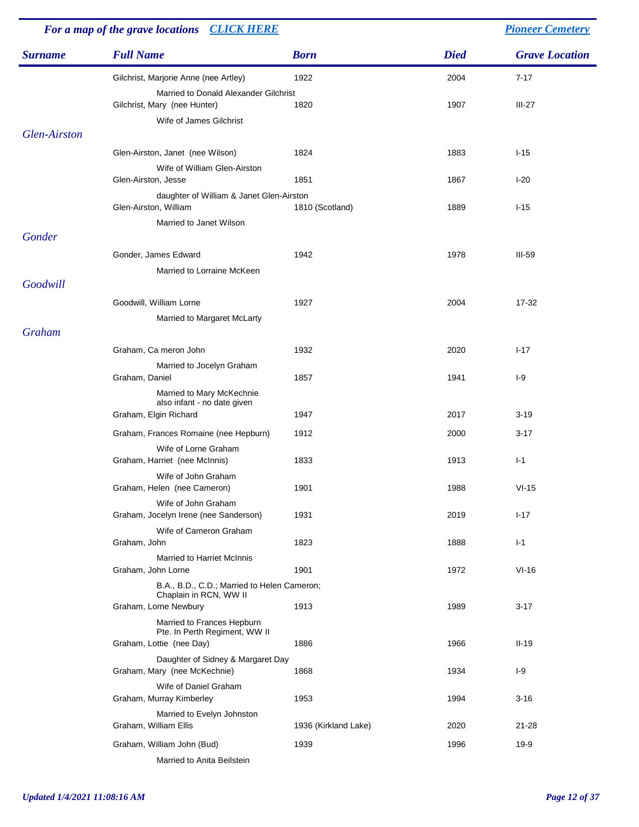| For a map of the grave locations CLICK HERE |                                                                   |                      |             | <b>Pioneer Cemetery</b> |
|---------------------------------------------|-------------------------------------------------------------------|----------------------|-------------|-------------------------|
| <b>Surname</b>                              | <b>Full Name</b>                                                  | <b>Born</b>          | <b>Died</b> | <b>Grave Location</b>   |
|                                             | Gilchrist, Marjorie Anne (nee Artley)                             | 1922                 | 2004        | $7 - 17$                |
|                                             | Married to Donald Alexander Gilchrist                             |                      |             |                         |
|                                             | Gilchrist, Mary (nee Hunter)<br>Wife of James Gilchrist           | 1820                 | 1907        | $III-27$                |
| Glen-Airston                                |                                                                   |                      |             |                         |
|                                             | Glen-Airston, Janet (nee Wilson)                                  | 1824                 | 1883        | $I-15$                  |
|                                             | Wife of William Glen-Airston                                      |                      |             |                         |
|                                             | Glen-Airston, Jesse                                               | 1851                 | 1867        | $I-20$                  |
|                                             | daughter of William & Janet Glen-Airston<br>Glen-Airston, William | 1810 (Scotland)      | 1889        | $I-15$                  |
|                                             | Married to Janet Wilson                                           |                      |             |                         |
| Gonder                                      |                                                                   |                      |             |                         |
|                                             | Gonder, James Edward                                              | 1942                 | 1978        | $III-59$                |
| Goodwill                                    | Married to Lorraine McKeen                                        |                      |             |                         |
|                                             |                                                                   |                      |             |                         |
|                                             | Goodwill, William Lorne<br>Married to Margaret McLarty            | 1927                 | 2004        | 17-32                   |
| Graham                                      |                                                                   |                      |             |                         |
|                                             | Graham, Ca meron John                                             | 1932                 | 2020        | $1 - 17$                |
|                                             | Married to Jocelyn Graham                                         |                      |             |                         |
|                                             | Graham, Daniel                                                    | 1857                 | 1941        | $I-9$                   |
|                                             | Married to Mary McKechnie<br>also infant - no date given          |                      |             |                         |
|                                             | Graham, Elgin Richard                                             | 1947                 | 2017        | $3 - 19$                |
|                                             | Graham, Frances Romaine (nee Hepburn)                             | 1912                 | 2000        | $3 - 17$                |
|                                             | Wife of Lorne Graham                                              |                      |             |                         |
|                                             | Graham, Harriet (nee McInnis)                                     | 1833                 | 1913        | $I-1$                   |
|                                             | Wife of John Graham<br>Graham, Helen (nee Cameron)                | 1901                 | 1988        | $VI-15$                 |
|                                             | Wife of John Graham                                               |                      |             |                         |
|                                             | Graham, Jocelyn Irene (nee Sanderson)                             | 1931                 | 2019        | $I-17$                  |
|                                             | Wife of Cameron Graham<br>Graham, John                            | 1823                 | 1888        | $I-1$                   |
|                                             | <b>Married to Harriet McInnis</b>                                 |                      |             |                         |
|                                             | Graham, John Lorne                                                | 1901                 | 1972        | $VI-16$                 |
|                                             | B.A., B.D., C.D.; Married to Helen Cameron;                       |                      |             |                         |
|                                             | Chaplain in RCN, WW II<br>Graham, Lorne Newbury                   | 1913                 | 1989        | $3 - 17$                |
|                                             | Married to Frances Hepburn                                        |                      |             |                         |
|                                             | Pte. In Perth Regiment, WW II<br>Graham, Lottie (nee Day)         | 1886                 | 1966        | $II-19$                 |
|                                             | Daughter of Sidney & Margaret Day                                 |                      |             |                         |
|                                             | Graham, Mary (nee McKechnie)                                      | 1868                 | 1934        | $I-9$                   |
|                                             | Wife of Daniel Graham                                             |                      |             |                         |
|                                             | Graham, Murray Kimberley<br>Married to Evelyn Johnston            | 1953                 | 1994        | $3 - 16$                |
|                                             | Graham, William Ellis                                             | 1936 (Kirkland Lake) | 2020        | $21 - 28$               |
|                                             | Graham, William John (Bud)                                        | 1939                 | 1996        | 19-9                    |
|                                             | Married to Anita Beilstein                                        |                      |             |                         |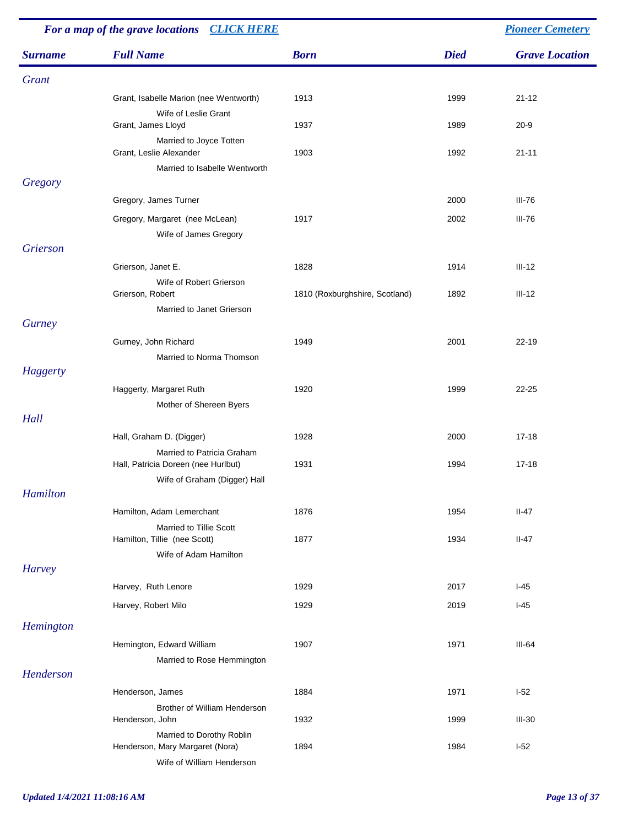| For a map of the grave locations CLICK HERE |                                                                                                   |                                |             | <b>Pioneer Cemetery</b> |
|---------------------------------------------|---------------------------------------------------------------------------------------------------|--------------------------------|-------------|-------------------------|
| <b>Surname</b>                              | <b>Full Name</b>                                                                                  | <b>Born</b>                    | <b>Died</b> | <b>Grave Location</b>   |
| Grant                                       |                                                                                                   |                                |             |                         |
|                                             | Grant, Isabelle Marion (nee Wentworth)                                                            | 1913                           | 1999        | $21 - 12$               |
|                                             | Wife of Leslie Grant<br>Grant, James Lloyd                                                        | 1937                           | 1989        | $20 - 9$                |
|                                             | Married to Joyce Totten<br>Grant, Leslie Alexander<br>Married to Isabelle Wentworth               | 1903                           | 1992        | $21 - 11$               |
| Gregory                                     |                                                                                                   |                                |             |                         |
|                                             | Gregory, James Turner                                                                             |                                | 2000        | $III-76$                |
|                                             | Gregory, Margaret (nee McLean)<br>Wife of James Gregory                                           | 1917                           | 2002        | III-76                  |
| Grierson                                    |                                                                                                   |                                |             |                         |
|                                             | Grierson, Janet E.                                                                                | 1828                           | 1914        | $III-12$                |
|                                             | Wife of Robert Grierson<br>Grierson, Robert<br>Married to Janet Grierson                          | 1810 (Roxburghshire, Scotland) | 1892        | $III-12$                |
| <b>Gurney</b>                               |                                                                                                   |                                |             |                         |
|                                             | Gurney, John Richard<br>Married to Norma Thomson                                                  | 1949                           | 2001        | $22 - 19$               |
| Haggerty                                    |                                                                                                   |                                |             |                         |
|                                             | Haggerty, Margaret Ruth<br>Mother of Shereen Byers                                                | 1920                           | 1999        | 22-25                   |
| Hall                                        |                                                                                                   |                                |             |                         |
|                                             | Hall, Graham D. (Digger)                                                                          | 1928                           | 2000        | $17 - 18$               |
|                                             | Married to Patricia Graham<br>Hall, Patricia Doreen (nee Hurlbut)<br>Wife of Graham (Digger) Hall | 1931                           | 1994        | $17 - 18$               |
| Hamilton                                    |                                                                                                   |                                |             |                         |
|                                             | Hamilton, Adam Lemerchant                                                                         | 1876                           | 1954        | $II-47$                 |
|                                             | Married to Tillie Scott<br>Hamilton, Tillie (nee Scott)                                           | 1877                           | 1934        | $II-47$                 |
| <b>Harvey</b>                               | Wife of Adam Hamilton                                                                             |                                |             |                         |
|                                             | Harvey, Ruth Lenore                                                                               | 1929                           | 2017        | $I-45$                  |
|                                             | Harvey, Robert Milo                                                                               | 1929                           | 2019        | $I-45$                  |
| Hemington                                   |                                                                                                   |                                |             |                         |
|                                             | Hemington, Edward William                                                                         | 1907                           | 1971        | $III-64$                |
|                                             | Married to Rose Hemmington                                                                        |                                |             |                         |
| Henderson                                   |                                                                                                   |                                |             |                         |
|                                             | Henderson, James<br>Brother of William Henderson                                                  | 1884                           | 1971        | $I-52$                  |
|                                             | Henderson, John                                                                                   | 1932                           | 1999        | $III-30$                |
|                                             | Married to Dorothy Roblin<br>Henderson, Mary Margaret (Nora)<br>Wife of William Henderson         | 1894                           | 1984        | $I-52$                  |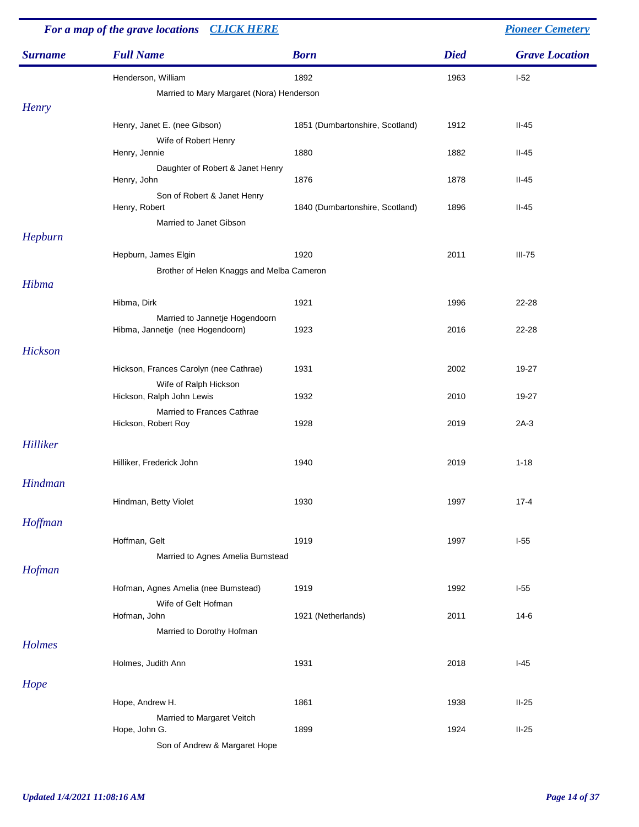| For a map of the grave locations CLICK HERE |                                                 |                                 |             | <b>Pioneer Cemetery</b> |
|---------------------------------------------|-------------------------------------------------|---------------------------------|-------------|-------------------------|
| <b>Surname</b>                              | <b>Full Name</b>                                | <b>Born</b>                     | <b>Died</b> | <b>Grave Location</b>   |
|                                             | Henderson, William                              | 1892                            | 1963        | $I-52$                  |
|                                             | Married to Mary Margaret (Nora) Henderson       |                                 |             |                         |
| <b>Henry</b>                                |                                                 |                                 |             |                         |
|                                             | Henry, Janet E. (nee Gibson)                    | 1851 (Dumbartonshire, Scotland) | 1912        | $II-45$                 |
|                                             | Wife of Robert Henry                            |                                 |             |                         |
|                                             | Henry, Jennie                                   | 1880                            | 1882        | $II-45$                 |
|                                             | Daughter of Robert & Janet Henry<br>Henry, John | 1876                            | 1878        | $II-45$                 |
|                                             | Son of Robert & Janet Henry                     |                                 |             |                         |
|                                             | Henry, Robert                                   | 1840 (Dumbartonshire, Scotland) | 1896        | $II-45$                 |
|                                             | Married to Janet Gibson                         |                                 |             |                         |
| Hepburn                                     |                                                 |                                 |             |                         |
|                                             | Hepburn, James Elgin                            | 1920                            | 2011        | $III-75$                |
|                                             | Brother of Helen Knaggs and Melba Cameron       |                                 |             |                         |
| Hibma                                       |                                                 |                                 |             |                         |
|                                             | Hibma, Dirk                                     | 1921                            | 1996        | 22-28                   |
|                                             | Married to Jannetje Hogendoorn                  |                                 |             |                         |
|                                             | Hibma, Jannetje (nee Hogendoorn)                | 1923                            | 2016        | 22-28                   |
| Hickson                                     |                                                 |                                 |             |                         |
|                                             | Hickson, Frances Carolyn (nee Cathrae)          | 1931                            | 2002        | 19-27                   |
|                                             | Wife of Ralph Hickson                           |                                 |             |                         |
|                                             | Hickson, Ralph John Lewis                       | 1932                            | 2010        | 19-27                   |
|                                             | Married to Frances Cathrae                      |                                 |             |                         |
|                                             | Hickson, Robert Roy                             | 1928                            | 2019        | $2A-3$                  |
| Hilliker                                    |                                                 |                                 |             |                         |
|                                             | Hilliker, Frederick John                        | 1940                            | 2019        | $1 - 18$                |
|                                             |                                                 |                                 |             |                         |
| Hindman                                     |                                                 |                                 |             |                         |
|                                             | Hindman, Betty Violet                           | 1930                            | 1997        | $17 - 4$                |
| Hoffman                                     |                                                 |                                 |             |                         |
|                                             | Hoffman, Gelt                                   | 1919                            | 1997        | $I-55$                  |
|                                             | Married to Agnes Amelia Bumstead                |                                 |             |                         |
| Hofman                                      |                                                 |                                 |             |                         |
|                                             | Hofman, Agnes Amelia (nee Bumstead)             | 1919                            | 1992        | $1-55$                  |
|                                             | Wife of Gelt Hofman                             |                                 |             |                         |
|                                             | Hofman, John                                    | 1921 (Netherlands)              | 2011        | $14-6$                  |
|                                             | Married to Dorothy Hofman                       |                                 |             |                         |
| Holmes                                      |                                                 |                                 |             |                         |
|                                             | Holmes, Judith Ann                              | 1931                            | 2018        | $I-45$                  |
| Hope                                        |                                                 |                                 |             |                         |
|                                             |                                                 |                                 |             |                         |
|                                             | Hope, Andrew H.                                 | 1861                            | 1938        | $II-25$                 |
|                                             | Married to Margaret Veitch<br>Hope, John G.     | 1899                            | 1924        | $II-25$                 |
|                                             | Son of Andrew & Margaret Hope                   |                                 |             |                         |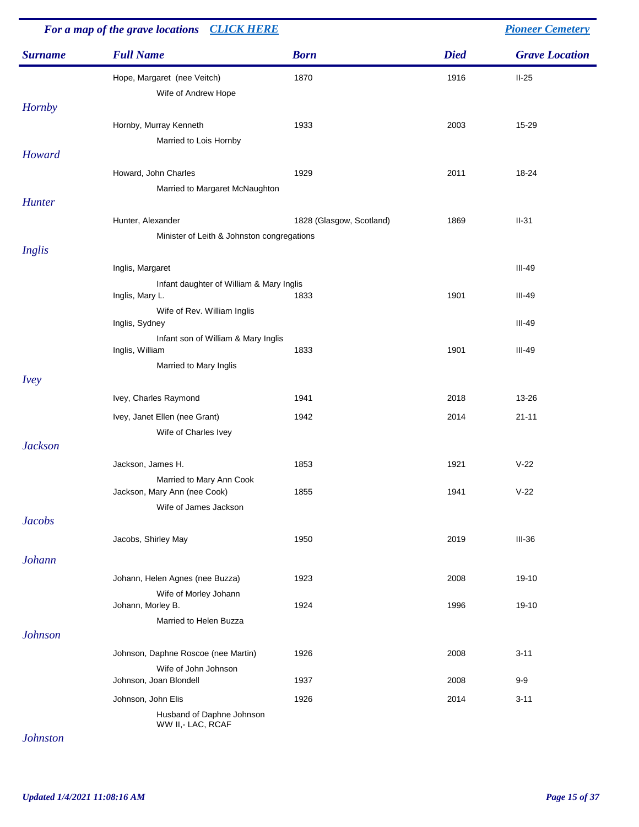| For a map of the grave locations CLICK HERE |                                                          |                          | <b>Pioneer Cemetery</b> |                       |  |
|---------------------------------------------|----------------------------------------------------------|--------------------------|-------------------------|-----------------------|--|
| <b>Surname</b>                              | <b>Full Name</b>                                         | <b>Born</b>              | <b>Died</b>             | <b>Grave Location</b> |  |
|                                             | Hope, Margaret (nee Veitch)                              | 1870                     | 1916                    | $II-25$               |  |
|                                             | Wife of Andrew Hope                                      |                          |                         |                       |  |
| <b>Hornby</b>                               |                                                          |                          |                         |                       |  |
|                                             | Hornby, Murray Kenneth                                   | 1933                     | 2003                    | 15-29                 |  |
|                                             | Married to Lois Hornby                                   |                          |                         |                       |  |
| Howard                                      |                                                          |                          |                         |                       |  |
|                                             | Howard, John Charles                                     | 1929                     | 2011                    | 18-24                 |  |
|                                             | Married to Margaret McNaughton                           |                          |                         |                       |  |
| Hunter                                      |                                                          |                          |                         |                       |  |
|                                             | Hunter, Alexander                                        | 1828 (Glasgow, Scotland) | 1869                    | $II-31$               |  |
|                                             | Minister of Leith & Johnston congregations               |                          |                         |                       |  |
| Inglis                                      |                                                          |                          |                         |                       |  |
|                                             | Inglis, Margaret                                         |                          |                         | $III-49$              |  |
|                                             | Infant daughter of William & Mary Inglis                 |                          |                         |                       |  |
|                                             | Inglis, Mary L.                                          | 1833                     | 1901                    | $III-49$              |  |
|                                             | Wife of Rev. William Inglis<br>Inglis, Sydney            |                          |                         | III-49                |  |
|                                             | Infant son of William & Mary Inglis                      |                          |                         |                       |  |
|                                             | Inglis, William                                          | 1833                     | 1901                    | III-49                |  |
| <i>Ivey</i>                                 | Married to Mary Inglis                                   |                          |                         |                       |  |
|                                             |                                                          |                          |                         |                       |  |
|                                             | Ivey, Charles Raymond                                    | 1941                     | 2018                    | 13-26                 |  |
|                                             | Ivey, Janet Ellen (nee Grant)                            | 1942                     | 2014                    | $21 - 11$             |  |
|                                             | Wife of Charles Ivey                                     |                          |                         |                       |  |
| <b>Jackson</b>                              |                                                          |                          |                         |                       |  |
|                                             | Jackson, James H.                                        | 1853                     | 1921                    | $V-22$                |  |
|                                             | Married to Mary Ann Cook<br>Jackson, Mary Ann (nee Cook) | 1855                     | 1941                    | $V-22$                |  |
|                                             | Wife of James Jackson                                    |                          |                         |                       |  |
| <b>Jacobs</b>                               |                                                          |                          |                         |                       |  |
|                                             | Jacobs, Shirley May                                      | 1950                     | 2019                    | $III-36$              |  |
|                                             |                                                          |                          |                         |                       |  |
| <b>Johann</b>                               |                                                          |                          |                         |                       |  |
|                                             | Johann, Helen Agnes (nee Buzza)                          | 1923                     | 2008                    | 19-10                 |  |
|                                             | Wife of Morley Johann                                    |                          |                         |                       |  |
|                                             | Johann, Morley B.                                        | 1924                     | 1996                    | 19-10                 |  |
| <b>Johnson</b>                              | Married to Helen Buzza                                   |                          |                         |                       |  |
|                                             |                                                          |                          |                         |                       |  |
|                                             | Johnson, Daphne Roscoe (nee Martin)                      | 1926                     | 2008                    | $3 - 11$              |  |
|                                             | Wife of John Johnson<br>Johnson, Joan Blondell           | 1937                     | 2008                    | $9-9$                 |  |
|                                             | Johnson, John Elis                                       | 1926                     | 2014                    | $3 - 11$              |  |
|                                             | Husband of Daphne Johnson<br>WW II,- LAC, RCAF           |                          |                         |                       |  |

*Johnston*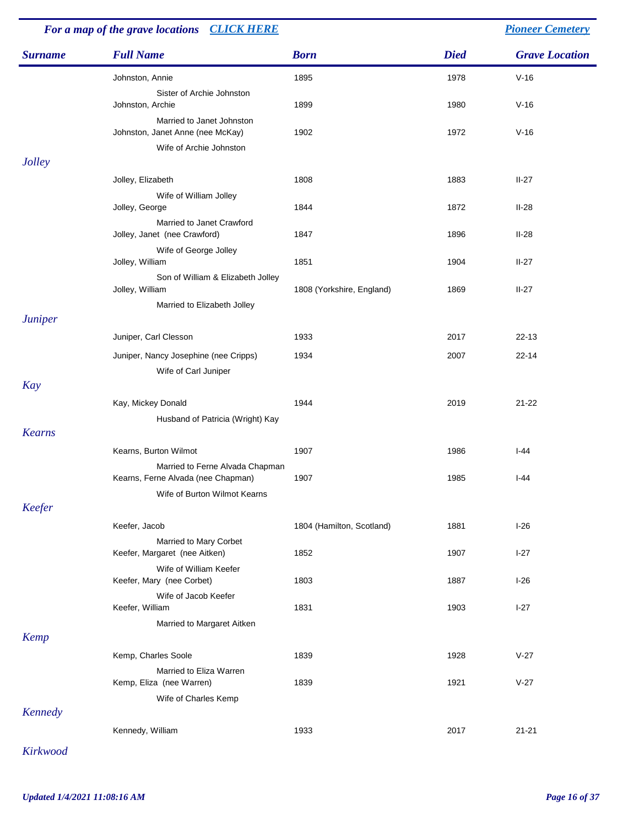| For a map of the grave locations CLICK HERE |                                                                       |                           |             | <b>Pioneer Cemetery</b> |
|---------------------------------------------|-----------------------------------------------------------------------|---------------------------|-------------|-------------------------|
| <b>Surname</b>                              | <b>Full Name</b>                                                      | <b>Born</b>               | <b>Died</b> | <b>Grave Location</b>   |
|                                             | Johnston, Annie                                                       | 1895                      | 1978        | $V-16$                  |
|                                             | Sister of Archie Johnston<br>Johnston, Archie                         | 1899                      | 1980        | $V-16$                  |
|                                             | Married to Janet Johnston<br>Johnston, Janet Anne (nee McKay)         | 1902                      | 1972        | $V-16$                  |
| <b>Jolley</b>                               | Wife of Archie Johnston                                               |                           |             |                         |
|                                             | Jolley, Elizabeth                                                     | 1808                      | 1883        | $II-27$                 |
|                                             | Wife of William Jolley<br>Jolley, George                              | 1844                      | 1872        | $II-28$                 |
|                                             | Married to Janet Crawford<br>Jolley, Janet (nee Crawford)             | 1847                      | 1896        | $II-28$                 |
|                                             | Wife of George Jolley<br>Jolley, William                              | 1851                      | 1904        | $II-27$                 |
|                                             | Son of William & Elizabeth Jolley<br>Jolley, William                  | 1808 (Yorkshire, England) | 1869        | $II-27$                 |
| <b>Juniper</b>                              | Married to Elizabeth Jolley                                           |                           |             |                         |
|                                             | Juniper, Carl Clesson                                                 | 1933                      | 2017        | $22 - 13$               |
|                                             | Juniper, Nancy Josephine (nee Cripps)                                 | 1934                      | 2007        | $22 - 14$               |
| Kay                                         | Wife of Carl Juniper                                                  |                           |             |                         |
|                                             | Kay, Mickey Donald                                                    | 1944                      | 2019        | $21 - 22$               |
| <b>Kearns</b>                               | Husband of Patricia (Wright) Kay                                      |                           |             |                         |
|                                             | Kearns, Burton Wilmot                                                 | 1907                      | 1986        | $I-44$                  |
|                                             | Married to Ferne Alvada Chapman<br>Kearns, Ferne Alvada (nee Chapman) | 1907                      | 1985        | $I-44$                  |
|                                             | Wife of Burton Wilmot Kearns                                          |                           |             |                         |
| Keefer                                      | Keefer, Jacob                                                         |                           |             |                         |
|                                             | Married to Mary Corbet                                                | 1804 (Hamilton, Scotland) | 1881        | $1-26$                  |
|                                             | Keefer, Margaret (nee Aitken)                                         | 1852                      | 1907        | $I-27$                  |
|                                             | Wife of William Keefer<br>Keefer, Mary (nee Corbet)                   | 1803                      | 1887        | $I-26$                  |
|                                             | Wife of Jacob Keefer<br>Keefer, William                               | 1831                      | 1903        | $I-27$                  |
| Kemp                                        | Married to Margaret Aitken                                            |                           |             |                         |
|                                             | Kemp, Charles Soole                                                   | 1839                      | 1928        | $V-27$                  |
|                                             | Married to Eliza Warren<br>Kemp, Eliza (nee Warren)                   | 1839                      | 1921        | $V-27$                  |
| Kennedy                                     | Wife of Charles Kemp                                                  |                           |             |                         |
|                                             | Kennedy, William                                                      | 1933                      | 2017        | $21 - 21$               |

*Kirkwood*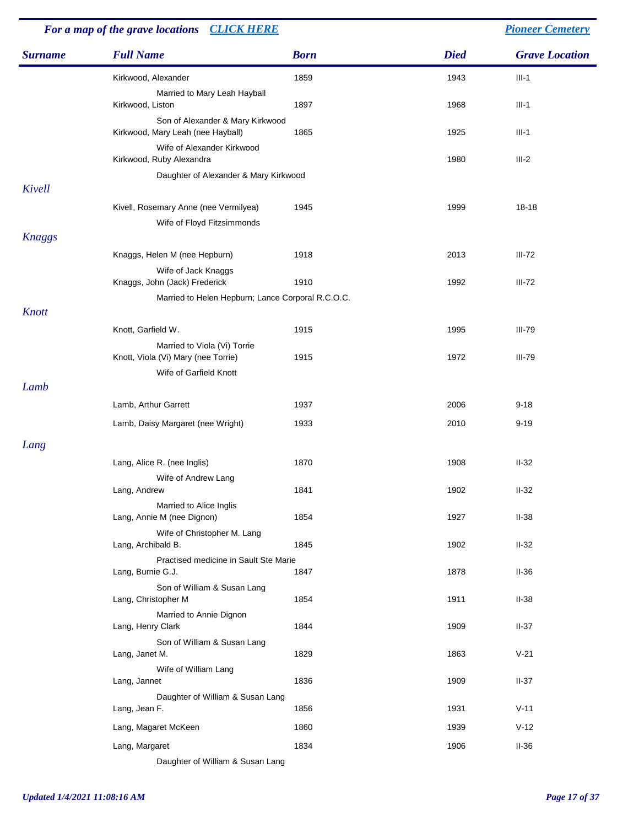| <b>Full Name</b><br><b>Died</b><br><b>Grave Location</b><br><b>Surname</b><br><b>Born</b><br>1859<br>$III-1$<br>Kirkwood, Alexander<br>1943<br>Married to Mary Leah Hayball<br>$III-1$<br>Kirkwood, Liston<br>1897<br>1968<br>Son of Alexander & Mary Kirkwood<br>$III-1$<br>Kirkwood, Mary Leah (nee Hayball)<br>1865<br>1925<br>Wife of Alexander Kirkwood<br>$III-2$<br>Kirkwood, Ruby Alexandra<br>1980<br>Daughter of Alexander & Mary Kirkwood<br>Kivell<br>18-18<br>Kivell, Rosemary Anne (nee Vermilyea)<br>1945<br>1999<br>Wife of Floyd Fitzsimmonds<br><b>Knaggs</b><br>$III-72$<br>Knaggs, Helen M (nee Hepburn)<br>1918<br>2013<br>Wife of Jack Knaggs<br>Knaggs, John (Jack) Frederick<br>1910<br>$III-72$<br>1992<br>Married to Helen Hepburn; Lance Corporal R.C.O.C.<br>Knott<br><b>III-79</b><br>Knott, Garfield W.<br>1915<br>1995<br>Married to Viola (Vi) Torrie<br>Knott, Viola (Vi) Mary (nee Torrie)<br>1915<br>1972<br><b>III-79</b><br>Wife of Garfield Knott<br>Lamb<br>$9 - 18$<br>Lamb, Arthur Garrett<br>1937<br>2006<br>Lamb, Daisy Margaret (nee Wright)<br>1933<br>2010<br>$9 - 19$<br>Lang<br>$II-32$<br>1870<br>1908<br>Lang, Alice R. (nee Inglis)<br>Wife of Andrew Lang<br>1841<br>1902<br>$II-32$<br>Lang, Andrew<br>Married to Alice Inglis<br>$II-38$<br>Lang, Annie M (nee Dignon)<br>1854<br>1927<br>Wife of Christopher M. Lang<br>1845<br>$II-32$<br>Lang, Archibald B.<br>1902 | For a map of the grave locations CLICK HERE |                                       |  | <b>Pioneer Cemetery</b> |
|------------------------------------------------------------------------------------------------------------------------------------------------------------------------------------------------------------------------------------------------------------------------------------------------------------------------------------------------------------------------------------------------------------------------------------------------------------------------------------------------------------------------------------------------------------------------------------------------------------------------------------------------------------------------------------------------------------------------------------------------------------------------------------------------------------------------------------------------------------------------------------------------------------------------------------------------------------------------------------------------------------------------------------------------------------------------------------------------------------------------------------------------------------------------------------------------------------------------------------------------------------------------------------------------------------------------------------------------------------------------------------------------------------------------------|---------------------------------------------|---------------------------------------|--|-------------------------|
|                                                                                                                                                                                                                                                                                                                                                                                                                                                                                                                                                                                                                                                                                                                                                                                                                                                                                                                                                                                                                                                                                                                                                                                                                                                                                                                                                                                                                              |                                             |                                       |  |                         |
|                                                                                                                                                                                                                                                                                                                                                                                                                                                                                                                                                                                                                                                                                                                                                                                                                                                                                                                                                                                                                                                                                                                                                                                                                                                                                                                                                                                                                              |                                             |                                       |  |                         |
|                                                                                                                                                                                                                                                                                                                                                                                                                                                                                                                                                                                                                                                                                                                                                                                                                                                                                                                                                                                                                                                                                                                                                                                                                                                                                                                                                                                                                              |                                             |                                       |  |                         |
|                                                                                                                                                                                                                                                                                                                                                                                                                                                                                                                                                                                                                                                                                                                                                                                                                                                                                                                                                                                                                                                                                                                                                                                                                                                                                                                                                                                                                              |                                             |                                       |  |                         |
|                                                                                                                                                                                                                                                                                                                                                                                                                                                                                                                                                                                                                                                                                                                                                                                                                                                                                                                                                                                                                                                                                                                                                                                                                                                                                                                                                                                                                              |                                             |                                       |  |                         |
|                                                                                                                                                                                                                                                                                                                                                                                                                                                                                                                                                                                                                                                                                                                                                                                                                                                                                                                                                                                                                                                                                                                                                                                                                                                                                                                                                                                                                              |                                             |                                       |  |                         |
|                                                                                                                                                                                                                                                                                                                                                                                                                                                                                                                                                                                                                                                                                                                                                                                                                                                                                                                                                                                                                                                                                                                                                                                                                                                                                                                                                                                                                              |                                             |                                       |  |                         |
|                                                                                                                                                                                                                                                                                                                                                                                                                                                                                                                                                                                                                                                                                                                                                                                                                                                                                                                                                                                                                                                                                                                                                                                                                                                                                                                                                                                                                              |                                             |                                       |  |                         |
|                                                                                                                                                                                                                                                                                                                                                                                                                                                                                                                                                                                                                                                                                                                                                                                                                                                                                                                                                                                                                                                                                                                                                                                                                                                                                                                                                                                                                              |                                             |                                       |  |                         |
|                                                                                                                                                                                                                                                                                                                                                                                                                                                                                                                                                                                                                                                                                                                                                                                                                                                                                                                                                                                                                                                                                                                                                                                                                                                                                                                                                                                                                              |                                             |                                       |  |                         |
|                                                                                                                                                                                                                                                                                                                                                                                                                                                                                                                                                                                                                                                                                                                                                                                                                                                                                                                                                                                                                                                                                                                                                                                                                                                                                                                                                                                                                              |                                             |                                       |  |                         |
|                                                                                                                                                                                                                                                                                                                                                                                                                                                                                                                                                                                                                                                                                                                                                                                                                                                                                                                                                                                                                                                                                                                                                                                                                                                                                                                                                                                                                              |                                             |                                       |  |                         |
|                                                                                                                                                                                                                                                                                                                                                                                                                                                                                                                                                                                                                                                                                                                                                                                                                                                                                                                                                                                                                                                                                                                                                                                                                                                                                                                                                                                                                              |                                             |                                       |  |                         |
|                                                                                                                                                                                                                                                                                                                                                                                                                                                                                                                                                                                                                                                                                                                                                                                                                                                                                                                                                                                                                                                                                                                                                                                                                                                                                                                                                                                                                              |                                             |                                       |  |                         |
|                                                                                                                                                                                                                                                                                                                                                                                                                                                                                                                                                                                                                                                                                                                                                                                                                                                                                                                                                                                                                                                                                                                                                                                                                                                                                                                                                                                                                              |                                             |                                       |  |                         |
|                                                                                                                                                                                                                                                                                                                                                                                                                                                                                                                                                                                                                                                                                                                                                                                                                                                                                                                                                                                                                                                                                                                                                                                                                                                                                                                                                                                                                              |                                             |                                       |  |                         |
|                                                                                                                                                                                                                                                                                                                                                                                                                                                                                                                                                                                                                                                                                                                                                                                                                                                                                                                                                                                                                                                                                                                                                                                                                                                                                                                                                                                                                              |                                             |                                       |  |                         |
|                                                                                                                                                                                                                                                                                                                                                                                                                                                                                                                                                                                                                                                                                                                                                                                                                                                                                                                                                                                                                                                                                                                                                                                                                                                                                                                                                                                                                              |                                             |                                       |  |                         |
|                                                                                                                                                                                                                                                                                                                                                                                                                                                                                                                                                                                                                                                                                                                                                                                                                                                                                                                                                                                                                                                                                                                                                                                                                                                                                                                                                                                                                              |                                             |                                       |  |                         |
|                                                                                                                                                                                                                                                                                                                                                                                                                                                                                                                                                                                                                                                                                                                                                                                                                                                                                                                                                                                                                                                                                                                                                                                                                                                                                                                                                                                                                              |                                             |                                       |  |                         |
|                                                                                                                                                                                                                                                                                                                                                                                                                                                                                                                                                                                                                                                                                                                                                                                                                                                                                                                                                                                                                                                                                                                                                                                                                                                                                                                                                                                                                              |                                             |                                       |  |                         |
|                                                                                                                                                                                                                                                                                                                                                                                                                                                                                                                                                                                                                                                                                                                                                                                                                                                                                                                                                                                                                                                                                                                                                                                                                                                                                                                                                                                                                              |                                             |                                       |  |                         |
|                                                                                                                                                                                                                                                                                                                                                                                                                                                                                                                                                                                                                                                                                                                                                                                                                                                                                                                                                                                                                                                                                                                                                                                                                                                                                                                                                                                                                              |                                             |                                       |  |                         |
|                                                                                                                                                                                                                                                                                                                                                                                                                                                                                                                                                                                                                                                                                                                                                                                                                                                                                                                                                                                                                                                                                                                                                                                                                                                                                                                                                                                                                              |                                             |                                       |  |                         |
|                                                                                                                                                                                                                                                                                                                                                                                                                                                                                                                                                                                                                                                                                                                                                                                                                                                                                                                                                                                                                                                                                                                                                                                                                                                                                                                                                                                                                              |                                             | Practised medicine in Sault Ste Marie |  |                         |
| Lang, Burnie G.J.<br>1847<br>1878<br>$II-36$                                                                                                                                                                                                                                                                                                                                                                                                                                                                                                                                                                                                                                                                                                                                                                                                                                                                                                                                                                                                                                                                                                                                                                                                                                                                                                                                                                                 |                                             |                                       |  |                         |
| Son of William & Susan Lang<br>Lang, Christopher M<br>1854<br>$II-38$<br>1911                                                                                                                                                                                                                                                                                                                                                                                                                                                                                                                                                                                                                                                                                                                                                                                                                                                                                                                                                                                                                                                                                                                                                                                                                                                                                                                                                |                                             |                                       |  |                         |
| Married to Annie Dignon<br>$II-37$<br>Lang, Henry Clark<br>1844<br>1909                                                                                                                                                                                                                                                                                                                                                                                                                                                                                                                                                                                                                                                                                                                                                                                                                                                                                                                                                                                                                                                                                                                                                                                                                                                                                                                                                      |                                             |                                       |  |                         |
| Son of William & Susan Lang<br>$V-21$<br>Lang, Janet M.<br>1829<br>1863                                                                                                                                                                                                                                                                                                                                                                                                                                                                                                                                                                                                                                                                                                                                                                                                                                                                                                                                                                                                                                                                                                                                                                                                                                                                                                                                                      |                                             |                                       |  |                         |
| Wife of William Lang<br>1836<br>1909<br>$II-37$<br>Lang, Jannet                                                                                                                                                                                                                                                                                                                                                                                                                                                                                                                                                                                                                                                                                                                                                                                                                                                                                                                                                                                                                                                                                                                                                                                                                                                                                                                                                              |                                             |                                       |  |                         |
| Daughter of William & Susan Lang                                                                                                                                                                                                                                                                                                                                                                                                                                                                                                                                                                                                                                                                                                                                                                                                                                                                                                                                                                                                                                                                                                                                                                                                                                                                                                                                                                                             |                                             |                                       |  |                         |
| $V-11$<br>Lang, Jean F.<br>1856<br>1931                                                                                                                                                                                                                                                                                                                                                                                                                                                                                                                                                                                                                                                                                                                                                                                                                                                                                                                                                                                                                                                                                                                                                                                                                                                                                                                                                                                      |                                             |                                       |  |                         |
| $V-12$<br>Lang, Magaret McKeen<br>1860<br>1939                                                                                                                                                                                                                                                                                                                                                                                                                                                                                                                                                                                                                                                                                                                                                                                                                                                                                                                                                                                                                                                                                                                                                                                                                                                                                                                                                                               |                                             |                                       |  |                         |
| 1834<br>$II-36$<br>Lang, Margaret<br>1906<br>Daughter of William & Susan Lang                                                                                                                                                                                                                                                                                                                                                                                                                                                                                                                                                                                                                                                                                                                                                                                                                                                                                                                                                                                                                                                                                                                                                                                                                                                                                                                                                |                                             |                                       |  |                         |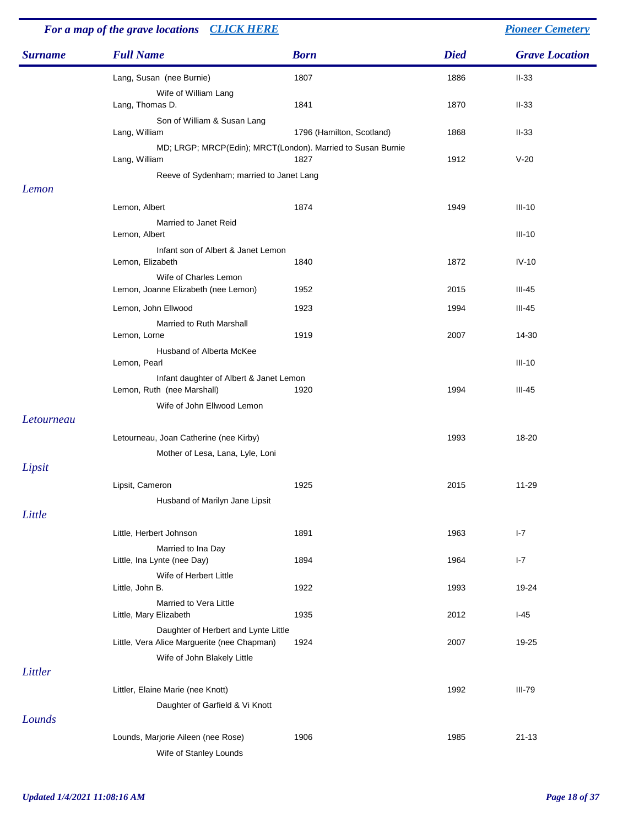| For a map of the grave locations CLICK HERE |                                                                                     |                           | <b>Pioneer Cemetery</b> |                       |
|---------------------------------------------|-------------------------------------------------------------------------------------|---------------------------|-------------------------|-----------------------|
| <b>Surname</b>                              | <b>Full Name</b>                                                                    | <b>Born</b>               | <b>Died</b>             | <b>Grave Location</b> |
|                                             | Lang, Susan (nee Burnie)<br>Wife of William Lang                                    | 1807                      | 1886                    | $II-33$               |
|                                             | Lang, Thomas D.<br>Son of William & Susan Lang                                      | 1841                      | 1870                    | $II-33$               |
|                                             | Lang, William                                                                       | 1796 (Hamilton, Scotland) | 1868                    | $II-33$               |
|                                             | MD; LRGP; MRCP(Edin); MRCT(London). Married to Susan Burnie<br>Lang, William        | 1827                      | 1912                    | $V-20$                |
| Lemon                                       | Reeve of Sydenham; married to Janet Lang                                            |                           |                         |                       |
|                                             | Lemon, Albert                                                                       | 1874                      | 1949                    | $III-10$              |
|                                             | Married to Janet Reid<br>Lemon, Albert                                              |                           |                         | $III-10$              |
|                                             | Infant son of Albert & Janet Lemon<br>Lemon, Elizabeth                              | 1840                      | 1872                    | $IV-10$               |
|                                             | Wife of Charles Lemon<br>Lemon, Joanne Elizabeth (nee Lemon)                        | 1952                      | 2015                    | $III-45$              |
|                                             | Lemon, John Ellwood                                                                 | 1923                      | 1994                    | $III-45$              |
|                                             | Married to Ruth Marshall<br>Lemon, Lorne                                            | 1919                      | 2007                    | 14-30                 |
|                                             | Husband of Alberta McKee<br>Lemon, Pearl                                            |                           |                         | $III-10$              |
|                                             | Infant daughter of Albert & Janet Lemon<br>Lemon, Ruth (nee Marshall)               | 1920                      | 1994                    | $III-45$              |
| Letourneau                                  | Wife of John Ellwood Lemon                                                          |                           |                         |                       |
|                                             | Letourneau, Joan Catherine (nee Kirby)                                              |                           | 1993                    | 18-20                 |
|                                             | Mother of Lesa, Lana, Lyle, Loni                                                    |                           |                         |                       |
| Lipsit                                      |                                                                                     |                           |                         |                       |
|                                             | Lipsit, Cameron                                                                     | 1925                      | 2015                    | $11 - 29$             |
| Little                                      | Husband of Marilyn Jane Lipsit                                                      |                           |                         |                       |
|                                             | Little, Herbert Johnson                                                             | 1891                      | 1963                    | $I - 7$               |
|                                             | Married to Ina Day<br>Little, Ina Lynte (nee Day)                                   | 1894                      | 1964                    | $I - 7$               |
|                                             | Wife of Herbert Little<br>Little, John B.                                           | 1922                      | 1993                    | 19-24                 |
|                                             | Married to Vera Little<br>Little, Mary Elizabeth                                    | 1935                      | 2012                    | $I-45$                |
|                                             | Daughter of Herbert and Lynte Little<br>Little, Vera Alice Marguerite (nee Chapman) | 1924                      | 2007                    | 19-25                 |
|                                             | Wife of John Blakely Little                                                         |                           |                         |                       |
| Littler                                     |                                                                                     |                           |                         |                       |
|                                             | Littler, Elaine Marie (nee Knott)                                                   |                           | 1992                    | <b>III-79</b>         |
| Lounds                                      | Daughter of Garfield & Vi Knott                                                     |                           |                         |                       |
|                                             | Lounds, Marjorie Aileen (nee Rose)                                                  | 1906                      | 1985                    | $21 - 13$             |
|                                             | Wife of Stanley Lounds                                                              |                           |                         |                       |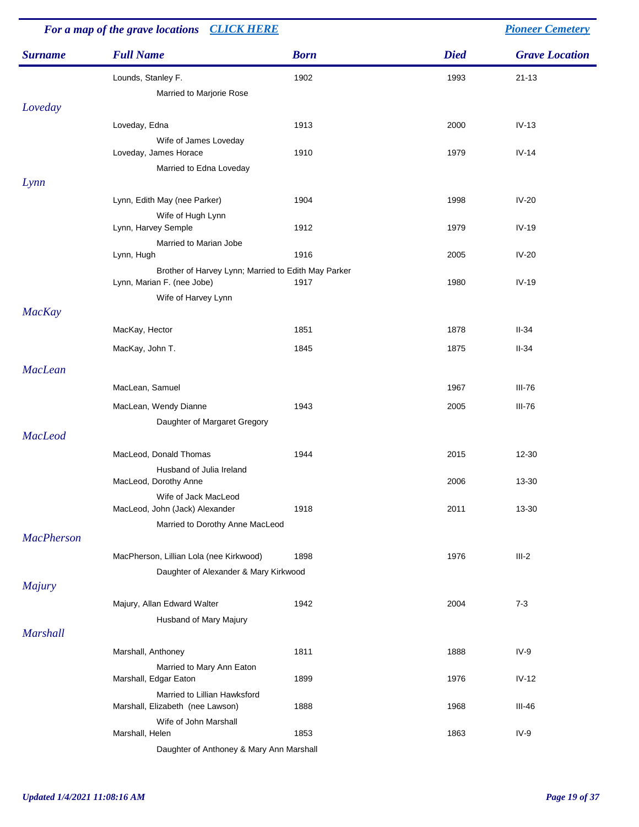| For a map of the grave locations CLICK HERE |                                                                                   |             | <b>Pioneer Cemetery</b> |                       |  |
|---------------------------------------------|-----------------------------------------------------------------------------------|-------------|-------------------------|-----------------------|--|
| <b>Surname</b>                              | <b>Full Name</b>                                                                  | <b>Born</b> | <b>Died</b>             | <b>Grave Location</b> |  |
|                                             | Lounds, Stanley F.                                                                | 1902        | 1993                    | $21 - 13$             |  |
|                                             | Married to Marjorie Rose                                                          |             |                         |                       |  |
| Loveday                                     |                                                                                   |             |                         |                       |  |
|                                             | Loveday, Edna                                                                     | 1913        | 2000                    | $IV-13$               |  |
|                                             | Wife of James Loveday                                                             |             |                         |                       |  |
|                                             | Loveday, James Horace                                                             | 1910        | 1979                    | $IV-14$               |  |
|                                             | Married to Edna Loveday                                                           |             |                         |                       |  |
| Lynn                                        |                                                                                   |             |                         |                       |  |
|                                             | Lynn, Edith May (nee Parker)                                                      | 1904        | 1998                    | $IV-20$               |  |
|                                             | Wife of Hugh Lynn                                                                 |             |                         |                       |  |
|                                             | Lynn, Harvey Semple                                                               | 1912        | 1979                    | $IV-19$               |  |
|                                             | Married to Marian Jobe                                                            |             |                         |                       |  |
|                                             | Lynn, Hugh                                                                        | 1916        | 2005                    | $IV-20$               |  |
|                                             | Brother of Harvey Lynn; Married to Edith May Parker<br>Lynn, Marian F. (nee Jobe) | 1917        | 1980                    | $IV-19$               |  |
|                                             | Wife of Harvey Lynn                                                               |             |                         |                       |  |
| <b>MacKay</b>                               |                                                                                   |             |                         |                       |  |
|                                             | MacKay, Hector                                                                    | 1851        | 1878                    | $II-34$               |  |
|                                             | MacKay, John T.                                                                   | 1845        | 1875                    | $II-34$               |  |
| <b>MacLean</b>                              |                                                                                   |             |                         |                       |  |
|                                             | MacLean, Samuel                                                                   |             | 1967                    | <b>III-76</b>         |  |
|                                             | MacLean, Wendy Dianne                                                             | 1943        | 2005                    | <b>III-76</b>         |  |
|                                             | Daughter of Margaret Gregory                                                      |             |                         |                       |  |
| <b>MacLeod</b>                              |                                                                                   |             |                         |                       |  |
|                                             | MacLeod, Donald Thomas                                                            | 1944        | 2015                    | 12-30                 |  |
|                                             | Husband of Julia Ireland                                                          |             |                         |                       |  |
|                                             | MacLeod, Dorothy Anne                                                             |             | 2006                    | 13-30                 |  |
|                                             | Wife of Jack MacLeod                                                              |             |                         |                       |  |
|                                             | MacLeod, John (Jack) Alexander                                                    | 1918        | 2011                    | 13-30                 |  |
|                                             | Married to Dorothy Anne MacLeod                                                   |             |                         |                       |  |
| <b>MacPherson</b>                           |                                                                                   |             |                         |                       |  |
|                                             | MacPherson, Lillian Lola (nee Kirkwood)                                           | 1898        | 1976                    | $III-2$               |  |
|                                             | Daughter of Alexander & Mary Kirkwood                                             |             |                         |                       |  |
| <b>Majury</b>                               |                                                                                   |             |                         |                       |  |
|                                             | Majury, Allan Edward Walter                                                       | 1942        | 2004                    | $7 - 3$               |  |
|                                             | Husband of Mary Majury                                                            |             |                         |                       |  |
| <b>Marshall</b>                             |                                                                                   |             |                         |                       |  |
|                                             | Marshall, Anthoney                                                                | 1811        | 1888                    | $IV-9$                |  |
|                                             | Married to Mary Ann Eaton                                                         |             |                         |                       |  |
|                                             | Marshall, Edgar Eaton                                                             | 1899        | 1976                    | $IV-12$               |  |
|                                             | Married to Lillian Hawksford                                                      |             |                         |                       |  |
|                                             | Marshall, Elizabeth (nee Lawson)                                                  | 1888        | 1968                    | $III-46$              |  |
|                                             | Wife of John Marshall                                                             |             |                         |                       |  |
|                                             | Marshall, Helen                                                                   | 1853        | 1863                    | $IV-9$                |  |
|                                             | Daughter of Anthoney & Mary Ann Marshall                                          |             |                         |                       |  |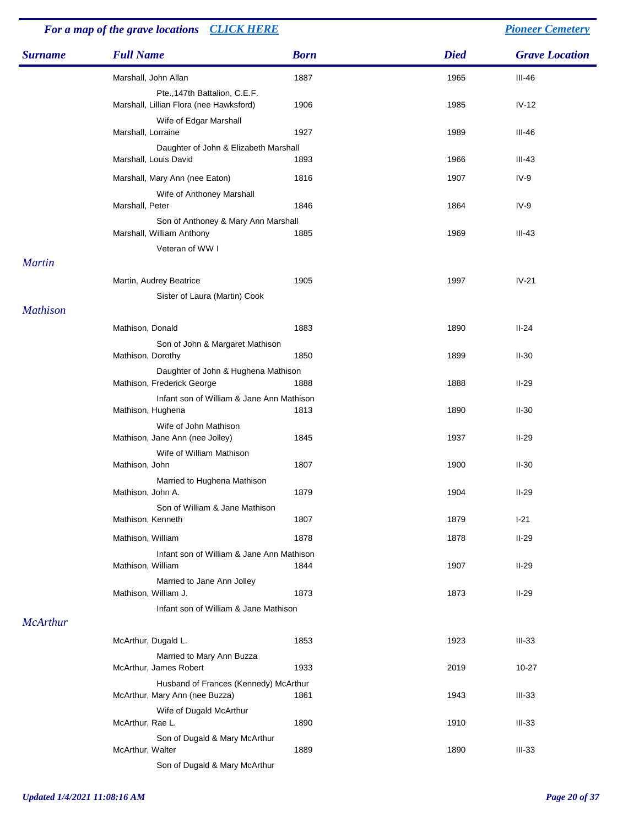#### *Surname Full Name Born Died Grave Location For a map of the grave locations [CLICK HERE](http://www.leithchurch.ca/cemeterymap.jpg) [Pioneer Cemetery](http://www.leithchurch.ca/Cemetery.htm)* Marshall, John Allan 1887 1965 III-46 Pte.,147th Battalion, C.E.F. Marshall, Lillian Flora (nee Hawksford) 1906 1985 1985 IV-12 Wife of Edgar Marshall Marshall, Lorraine 1927 1927 1989 III-46 Daughter of John & Elizabeth Marshall Marshall, Louis David **1893** 1893 1966 1966 11-43 Marshall, Mary Ann (nee Eaton) 1816 1907 1907 1V-9 Wife of Anthoney Marshall Marshall, Peter 1864 1864 IV-9 Son of Anthoney & Mary Ann Marshall Marshall, William Anthony **1885** 1969 1969 III-43 Veteran of WW I *Martin* Martin, Audrey Beatrice **1905** 1905 1997 1997 IV-21 Sister of Laura (Martin) Cook *Mathison* Mathison, Donald **1883** 1890 **II-24** Son of John & Margaret Mathison Mathison, Dorothy **1850** 1899 II-30 Daughter of John & Hughena Mathison Mathison, Frederick George 1888 1888 1888 1888 II-29 Infant son of William & Jane Ann Mathison Mathison, Hughena 1813 1813 1890 II-30 Wife of John Mathison Mathison, Jane Ann (nee Jolley) 1845 1937 1937 II-29 Wife of William Mathison Mathison, John 1807 1900 II-30 Married to Hughena Mathison Mathison, John A. 1879 1879 1904 1904 II-29 Son of William & Jane Mathison Mathison, Kenneth 1807 1807 1807 1807 1807 1807 1808 1812 1879 1-21 Mathison, William 1878 1878 II-29 Infant son of William & Jane Ann Mathison Mathison, William 1844 1907 II-29 Married to Jane Ann Jolley Mathison, William J. 1873 1873 II-29 Infant son of William & Jane Mathison *McArthur* McArthur, Dugald L. 1853 1923 1923 III-33 Married to Mary Ann Buzza McArthur, James Robert 1933 1933 2019 10-27 Husband of Frances (Kennedy) McArthur McArthur, Mary Ann (nee Buzza) 1861 1943 1943 III-33 Wife of Dugald McArthur McArthur, Rae L. 1890 1910 III-33 Son of Dugald & Mary McArthur

McArthur, Walter 1889 1889 1890 1890 1890 11-33

Son of Dugald & Mary McArthur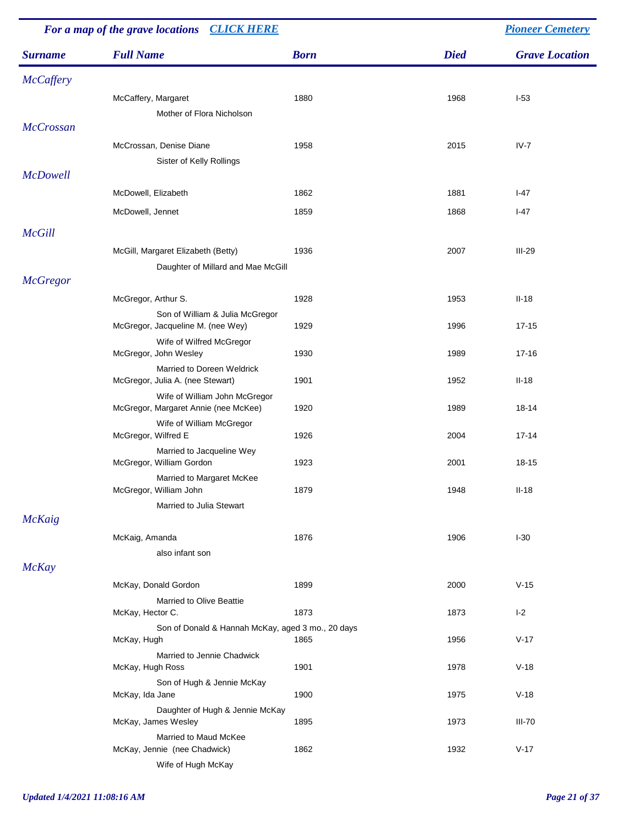| For a map of the grave locations CLICK HERE |                                                    |             |             | <b>Pioneer Cemetery</b> |  |
|---------------------------------------------|----------------------------------------------------|-------------|-------------|-------------------------|--|
| <b>Surname</b>                              | <b>Full Name</b>                                   | <b>Born</b> | <b>Died</b> | <b>Grave Location</b>   |  |
| <b>McCaffery</b>                            |                                                    |             |             |                         |  |
|                                             | McCaffery, Margaret                                | 1880        | 1968        | $I-53$                  |  |
|                                             | Mother of Flora Nicholson                          |             |             |                         |  |
| <b>McCrossan</b>                            |                                                    |             |             |                         |  |
|                                             | McCrossan, Denise Diane                            | 1958        | 2015        | $IV-7$                  |  |
|                                             | Sister of Kelly Rollings                           |             |             |                         |  |
| <b>McDowell</b>                             |                                                    |             |             |                         |  |
|                                             | McDowell, Elizabeth                                | 1862        | 1881        | $I-47$                  |  |
|                                             | McDowell, Jennet                                   | 1859        | 1868        | $I-47$                  |  |
| <b>McGill</b>                               |                                                    |             |             |                         |  |
|                                             | McGill, Margaret Elizabeth (Betty)                 | 1936        | 2007        | $III-29$                |  |
|                                             | Daughter of Millard and Mae McGill                 |             |             |                         |  |
| <b>McGregor</b>                             |                                                    |             |             |                         |  |
|                                             | McGregor, Arthur S.                                | 1928        | 1953        | $II-18$                 |  |
|                                             | Son of William & Julia McGregor                    |             |             |                         |  |
|                                             | McGregor, Jacqueline M. (nee Wey)                  | 1929        | 1996        | $17 - 15$               |  |
|                                             | Wife of Wilfred McGregor<br>McGregor, John Wesley  | 1930        | 1989        | $17 - 16$               |  |
|                                             | Married to Doreen Weldrick                         |             |             |                         |  |
|                                             | McGregor, Julia A. (nee Stewart)                   | 1901        | 1952        | $II-18$                 |  |
|                                             | Wife of William John McGregor                      |             |             |                         |  |
|                                             | McGregor, Margaret Annie (nee McKee)               | 1920        | 1989        | 18-14                   |  |
|                                             | Wife of William McGregor<br>McGregor, Wilfred E    | 1926        | 2004        | $17 - 14$               |  |
|                                             | Married to Jacqueline Wey                          |             |             |                         |  |
|                                             | McGregor, William Gordon                           | 1923        | 2001        | 18-15                   |  |
|                                             | Married to Margaret McKee                          |             |             |                         |  |
|                                             | McGregor, William John<br>Married to Julia Stewart | 1879        | 1948        | $II-18$                 |  |
| <b>McKaig</b>                               |                                                    |             |             |                         |  |
|                                             | McKaig, Amanda                                     | 1876        | 1906        | $I-30$                  |  |
|                                             | also infant son                                    |             |             |                         |  |
| <b>McKay</b>                                |                                                    |             |             |                         |  |
|                                             | McKay, Donald Gordon                               | 1899        | 2000        | $V-15$                  |  |
|                                             | Married to Olive Beattie                           |             |             |                         |  |
|                                             | McKay, Hector C.                                   | 1873        | 1873        | $I-2$                   |  |
|                                             | Son of Donald & Hannah McKay, aged 3 mo., 20 days  | 1865        | 1956        | $V-17$                  |  |
|                                             | McKay, Hugh<br>Married to Jennie Chadwick          |             |             |                         |  |
|                                             | McKay, Hugh Ross                                   | 1901        | 1978        | $V-18$                  |  |
|                                             | Son of Hugh & Jennie McKay                         |             |             |                         |  |
|                                             | McKay, Ida Jane                                    | 1900        | 1975        | $V-18$                  |  |
|                                             | Daughter of Hugh & Jennie McKay                    | 1895        | 1973        | $III-70$                |  |
|                                             | McKay, James Wesley<br>Married to Maud McKee       |             |             |                         |  |
|                                             | McKay, Jennie (nee Chadwick)                       | 1862        | 1932        | $V-17$                  |  |
|                                             | Wife of Hugh McKay                                 |             |             |                         |  |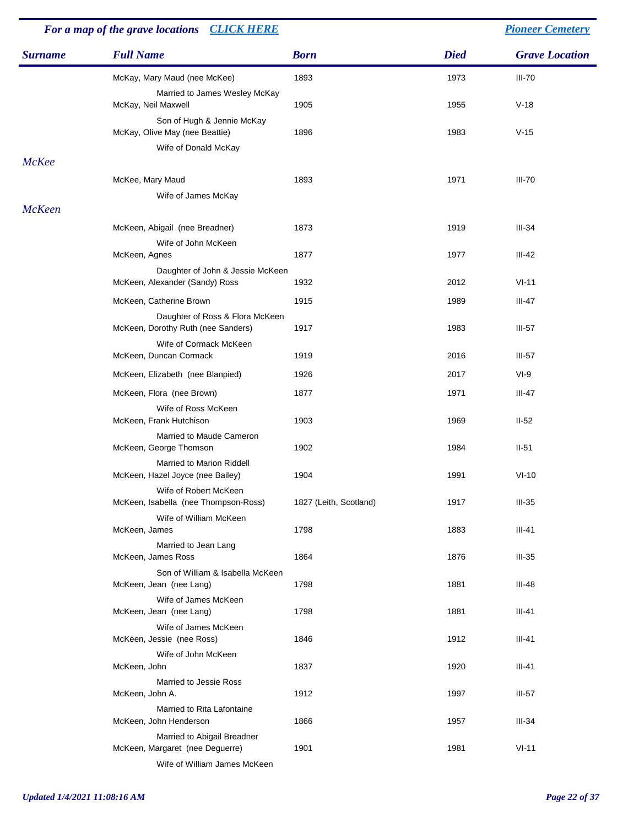| For a map of the grave locations<br><b>CLICK HERE</b> |                                                                                                |                        |             | <b>Pioneer Cemetery</b> |  |
|-------------------------------------------------------|------------------------------------------------------------------------------------------------|------------------------|-------------|-------------------------|--|
| <b>Surname</b>                                        | <b>Full Name</b>                                                                               | <b>Born</b>            | <b>Died</b> | <b>Grave Location</b>   |  |
|                                                       | McKay, Mary Maud (nee McKee)                                                                   | 1893                   | 1973        | <b>III-70</b>           |  |
|                                                       | Married to James Wesley McKay<br>McKay, Neil Maxwell                                           | 1905                   | 1955        | $V-18$                  |  |
|                                                       | Son of Hugh & Jennie McKay<br>McKay, Olive May (nee Beattie)                                   | 1896                   | 1983        | $V-15$                  |  |
| <b>McKee</b>                                          | Wife of Donald McKay                                                                           |                        |             |                         |  |
|                                                       | McKee, Mary Maud                                                                               | 1893                   | 1971        | <b>III-70</b>           |  |
|                                                       | Wife of James McKay                                                                            |                        |             |                         |  |
| <b>McKeen</b>                                         |                                                                                                |                        |             |                         |  |
|                                                       | McKeen, Abigail (nee Breadner)                                                                 | 1873                   | 1919        | $III-34$                |  |
|                                                       | Wife of John McKeen<br>McKeen, Agnes                                                           | 1877                   | 1977        | III-42                  |  |
|                                                       | Daughter of John & Jessie McKeen<br>McKeen, Alexander (Sandy) Ross                             | 1932                   | 2012        | $VI-11$                 |  |
|                                                       | McKeen, Catherine Brown                                                                        | 1915                   | 1989        | $III-47$                |  |
|                                                       | Daughter of Ross & Flora McKeen<br>McKeen, Dorothy Ruth (nee Sanders)                          | 1917                   | 1983        | $III-57$                |  |
|                                                       | Wife of Cormack McKeen<br>McKeen, Duncan Cormack                                               | 1919                   | 2016        | $III-57$                |  |
|                                                       | McKeen, Elizabeth (nee Blanpied)                                                               | 1926                   | 2017        | $VI-9$                  |  |
|                                                       | McKeen, Flora (nee Brown)                                                                      | 1877                   | 1971        | $III-47$                |  |
|                                                       | Wife of Ross McKeen<br>McKeen, Frank Hutchison                                                 | 1903                   | 1969        | $II-52$                 |  |
|                                                       | Married to Maude Cameron<br>McKeen, George Thomson                                             | 1902                   | 1984        | $II-51$                 |  |
|                                                       | Married to Marion Riddell<br>McKeen, Hazel Joyce (nee Bailey)                                  | 1904                   | 1991        | $VI-10$                 |  |
|                                                       | Wife of Robert McKeen<br>McKeen, Isabella (nee Thompson-Ross)                                  | 1827 (Leith, Scotland) | 1917        | $III-35$                |  |
|                                                       | Wife of William McKeen<br>McKeen, James                                                        | 1798                   | 1883        | $III-41$                |  |
|                                                       | Married to Jean Lang<br>McKeen, James Ross                                                     | 1864                   | 1876        | $III-35$                |  |
|                                                       | Son of William & Isabella McKeen<br>McKeen, Jean (nee Lang)                                    | 1798                   | 1881        | III-48                  |  |
|                                                       | Wife of James McKeen<br>McKeen, Jean (nee Lang)                                                | 1798                   | 1881        | $III-41$                |  |
|                                                       | Wife of James McKeen<br>McKeen, Jessie (nee Ross)                                              | 1846                   | 1912        | $III-41$                |  |
|                                                       | Wife of John McKeen<br>McKeen, John                                                            | 1837                   | 1920        | $III-41$                |  |
|                                                       | Married to Jessie Ross<br>McKeen, John A.                                                      | 1912                   | 1997        | $III-57$                |  |
|                                                       | Married to Rita Lafontaine<br>McKeen, John Henderson                                           | 1866                   | 1957        | $III-34$                |  |
|                                                       | Married to Abigail Breadner<br>McKeen, Margaret (nee Deguerre)<br>Wife of William James McKeen | 1901                   | 1981        | $VI-11$                 |  |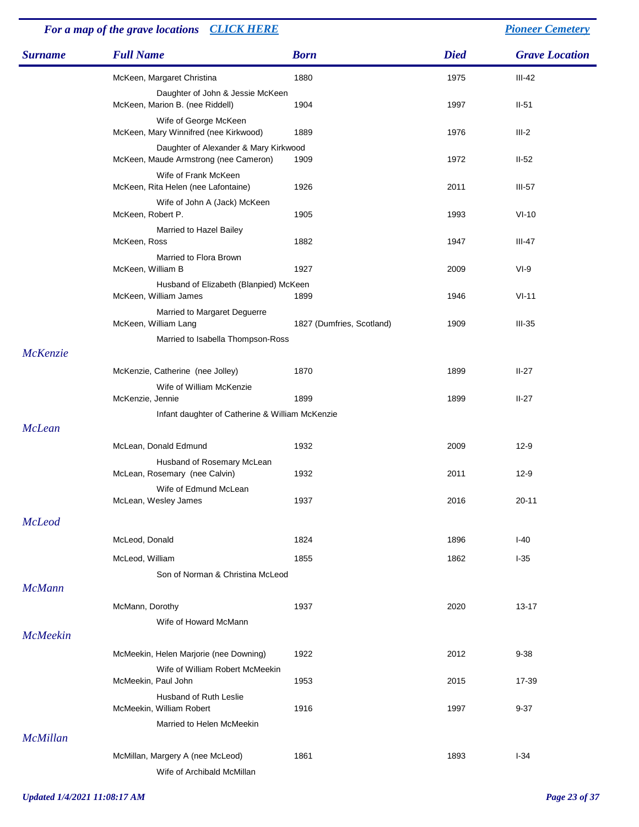### *Surname Full Name Born Died Grave Location For a map of the grave locations [CLICK HERE](http://www.leithchurch.ca/cemeterymap.jpg) [Pioneer Cemetery](http://www.leithchurch.ca/Cemetery.htm)* McKeen, Margaret Christina 1880 1975 11-42 Daughter of John & Jessie McKeen McKeen, Marion B. (nee Riddell) 1904 1904 1997 1997 II-51 Wife of George McKeen McKeen, Mary Winnifred (nee Kirkwood) 1889 1976 1976 111-2 Daughter of Alexander & Mary Kirkwood McKeen, Maude Armstrong (nee Cameron) 1909 1972 1972 11-52 Wife of Frank McKeen McKeen, Rita Helen (nee Lafontaine) 1926 1926 1920 11 2011 11-57 Wife of John A (Jack) McKeen McKeen, Robert P. 1905 1993 1993 VI-10 Married to Hazel Bailey McKeen, Ross 1882 1947 III-47 Married to Flora Brown McKeen, William B 1927 2009 VI-9 Husband of Elizabeth (Blanpied) McKeen McKeen, William James 1899 1946 VI-11 Married to Margaret Deguerre McKeen, William Lang 1827 (Dumfries, Scotland) 1909 III-35 Married to Isabella Thompson-Ross *McKenzie* McKenzie, Catherine (nee Jolley) 1870 1899 1899 II-27 Wife of William McKenzie McKenzie, Jennie 1899 1899 II-27 Infant daughter of Catherine & William McKenzie *McLean* McLean, Donald Edmund 1932 12-9 Husband of Rosemary McLean McLean, Rosemary (nee Calvin) 1932 12-9 2011 12-9 Wife of Edmund McLean McLean, Wesley James 2016 2016 2016 2016 2016 *McLeod* McLeod, Donald 1824 1896 1-40 McLeod, William 1855 1-35 Son of Norman & Christina McLeod *McMann* McMann, Dorothy 1937 1937 2020 13-17 Wife of Howard McMann *McMeekin* McMeekin, Helen Marjorie (nee Downing) 1922 2012 9-38 Wife of William Robert McMeekin McMeekin, Paul John 1953 2015 17-39 Husband of Ruth Leslie McMeekin, William Robert 1916 1916 1997 1997 9-37 Married to Helen McMeekin *McMillan* McMillan, Margery A (nee McLeod) 1861 1893 1893 1-34

Wife of Archibald McMillan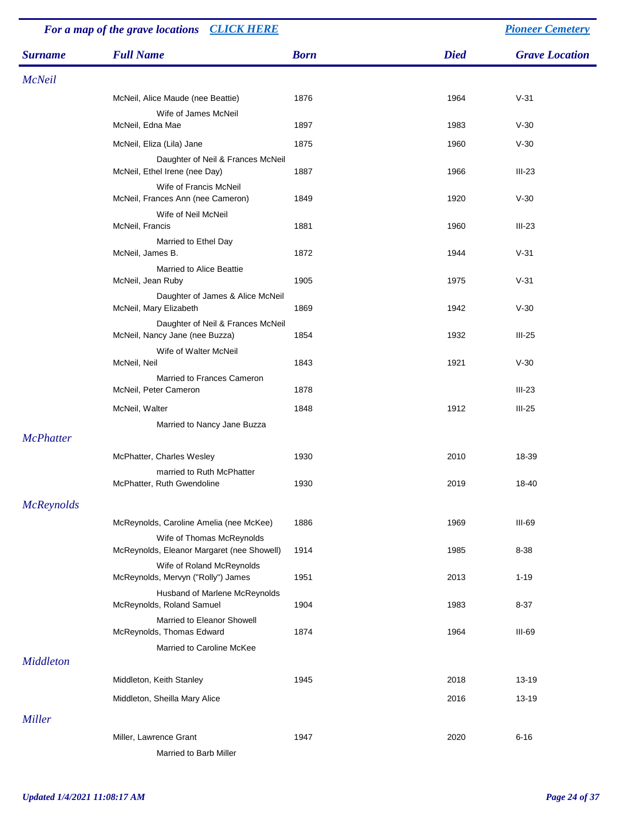| For a map of the grave locations CLICK HERE |                                                                         |             | <b>Pioneer Cemetery</b> |                       |
|---------------------------------------------|-------------------------------------------------------------------------|-------------|-------------------------|-----------------------|
| <b>Surname</b>                              | <b>Full Name</b>                                                        | <b>Born</b> | <b>Died</b>             | <b>Grave Location</b> |
| <b>McNeil</b>                               |                                                                         |             |                         |                       |
|                                             | McNeil, Alice Maude (nee Beattie)                                       | 1876        | 1964                    | $V-31$                |
|                                             | Wife of James McNeil<br>McNeil, Edna Mae                                | 1897        | 1983                    | $V-30$                |
|                                             | McNeil, Eliza (Lila) Jane                                               | 1875        | 1960                    | $V-30$                |
|                                             | Daughter of Neil & Frances McNeil<br>McNeil, Ethel Irene (nee Day)      | 1887        | 1966                    | $III-23$              |
|                                             | Wife of Francis McNeil<br>McNeil, Frances Ann (nee Cameron)             | 1849        | 1920                    | $V-30$                |
|                                             | Wife of Neil McNeil<br>McNeil, Francis                                  | 1881        | 1960                    | $III-23$              |
|                                             | Married to Ethel Day<br>McNeil, James B.                                | 1872        | 1944                    | $V-31$                |
|                                             | <b>Married to Alice Beattie</b><br>McNeil, Jean Ruby                    | 1905        | 1975                    | $V-31$                |
|                                             | Daughter of James & Alice McNeil<br>McNeil, Mary Elizabeth              | 1869        | 1942                    | $V-30$                |
|                                             | Daughter of Neil & Frances McNeil<br>McNeil, Nancy Jane (nee Buzza)     | 1854        | 1932                    | $III-25$              |
|                                             | Wife of Walter McNeil<br>McNeil, Neil                                   | 1843        | 1921                    | $V-30$                |
|                                             | Married to Frances Cameron<br>McNeil, Peter Cameron                     | 1878        |                         | $III-23$              |
|                                             | McNeil, Walter                                                          | 1848        | 1912                    | $III-25$              |
| <b>McPhatter</b>                            | Married to Nancy Jane Buzza                                             |             |                         |                       |
|                                             | McPhatter, Charles Wesley                                               | 1930        | 2010                    | 18-39                 |
|                                             | married to Ruth McPhatter<br>McPhatter, Ruth Gwendoline                 | 1930        | 2019                    | 18-40                 |
| <b>McReynolds</b>                           |                                                                         |             |                         |                       |
|                                             | McReynolds, Caroline Amelia (nee McKee)                                 | 1886        | 1969                    | III-69                |
|                                             | Wife of Thomas McReynolds<br>McReynolds, Eleanor Margaret (nee Showell) | 1914        | 1985                    | 8-38                  |
|                                             | Wife of Roland McReynolds<br>McReynolds, Mervyn ("Rolly") James         | 1951        | 2013                    | $1 - 19$              |
|                                             | Husband of Marlene McReynolds<br>McReynolds, Roland Samuel              | 1904        | 1983                    | $8 - 37$              |
|                                             | Married to Eleanor Showell<br>McReynolds, Thomas Edward                 | 1874        | 1964                    | $III-69$              |
| <b>Middleton</b>                            | Married to Caroline McKee                                               |             |                         |                       |
|                                             | Middleton, Keith Stanley                                                | 1945        | 2018                    | 13-19                 |
|                                             | Middleton, Sheilla Mary Alice                                           |             | 2016                    | 13-19                 |
| Miller                                      |                                                                         |             |                         |                       |
|                                             | Miller, Lawrence Grant<br>Married to Barb Miller                        | 1947        | 2020                    | $6 - 16$              |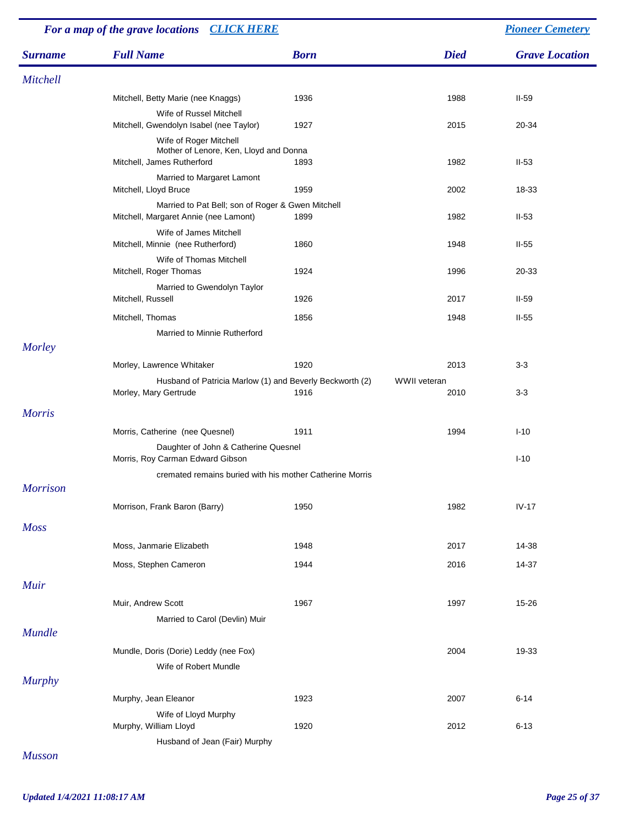| For a map of the grave locations CLICK HERE |                                                                                                |             |                      | <b>Pioneer Cemetery</b> |
|---------------------------------------------|------------------------------------------------------------------------------------------------|-------------|----------------------|-------------------------|
| <b>Surname</b>                              | <b>Full Name</b>                                                                               | <b>Born</b> | <b>Died</b>          | <b>Grave Location</b>   |
| Mitchell                                    |                                                                                                |             |                      |                         |
|                                             | Mitchell, Betty Marie (nee Knaggs)                                                             | 1936        | 1988                 | $II-59$                 |
|                                             | Wife of Russel Mitchell<br>Mitchell, Gwendolyn Isabel (nee Taylor)                             | 1927        | 2015                 | 20-34                   |
|                                             | Wife of Roger Mitchell<br>Mother of Lenore, Ken, Lloyd and Donna<br>Mitchell, James Rutherford | 1893        | 1982                 | $II-53$                 |
|                                             | Married to Margaret Lamont<br>Mitchell, Lloyd Bruce                                            | 1959        | 2002                 | 18-33                   |
|                                             | Married to Pat Bell; son of Roger & Gwen Mitchell<br>Mitchell, Margaret Annie (nee Lamont)     | 1899        | 1982                 | $II-53$                 |
|                                             | Wife of James Mitchell<br>Mitchell, Minnie (nee Rutherford)                                    | 1860        | 1948                 | $II-55$                 |
|                                             | Wife of Thomas Mitchell                                                                        |             |                      |                         |
|                                             | Mitchell, Roger Thomas                                                                         | 1924        | 1996                 | 20-33                   |
|                                             | Married to Gwendolyn Taylor<br>Mitchell, Russell                                               | 1926        | 2017                 | $II-59$                 |
|                                             | Mitchell, Thomas<br>Married to Minnie Rutherford                                               | 1856        | 1948                 | $II-55$                 |
| Morley                                      |                                                                                                |             |                      |                         |
|                                             | Morley, Lawrence Whitaker                                                                      | 1920        | 2013                 | $3-3$                   |
|                                             | Husband of Patricia Marlow (1) and Beverly Beckworth (2)<br>Morley, Mary Gertrude              | 1916        | WWII veteran<br>2010 | $3-3$                   |
| <b>Morris</b>                               |                                                                                                |             |                      |                         |
|                                             | Morris, Catherine (nee Quesnel)                                                                | 1911        | 1994                 | $I-10$                  |
|                                             | Daughter of John & Catherine Quesnel<br>Morris, Roy Carman Edward Gibson                       |             |                      | $I-10$                  |
|                                             | cremated remains buried with his mother Catherine Morris                                       |             |                      |                         |
| <b>Morrison</b>                             |                                                                                                |             |                      |                         |
|                                             | Morrison, Frank Baron (Barry)                                                                  | 1950        | 1982                 | $IV-17$                 |
| <b>Moss</b>                                 |                                                                                                |             |                      |                         |
|                                             | Moss, Janmarie Elizabeth                                                                       | 1948        | 2017                 | 14-38                   |
|                                             | Moss, Stephen Cameron                                                                          | 1944        | 2016                 | 14-37                   |
| <b>Muir</b>                                 |                                                                                                |             |                      |                         |
|                                             | Muir, Andrew Scott                                                                             | 1967        | 1997                 | 15-26                   |
| <b>Mundle</b>                               | Married to Carol (Devlin) Muir                                                                 |             |                      |                         |
|                                             | Mundle, Doris (Dorie) Leddy (nee Fox)                                                          |             | 2004                 | 19-33                   |
|                                             | Wife of Robert Mundle                                                                          |             |                      |                         |
| <b>Murphy</b>                               | Murphy, Jean Eleanor                                                                           | 1923        | 2007                 | $6 - 14$                |
|                                             | Wife of Lloyd Murphy                                                                           |             |                      |                         |
|                                             | Murphy, William Lloyd                                                                          | 1920        | 2012                 | $6 - 13$                |
| <b>Musson</b>                               | Husband of Jean (Fair) Murphy                                                                  |             |                      |                         |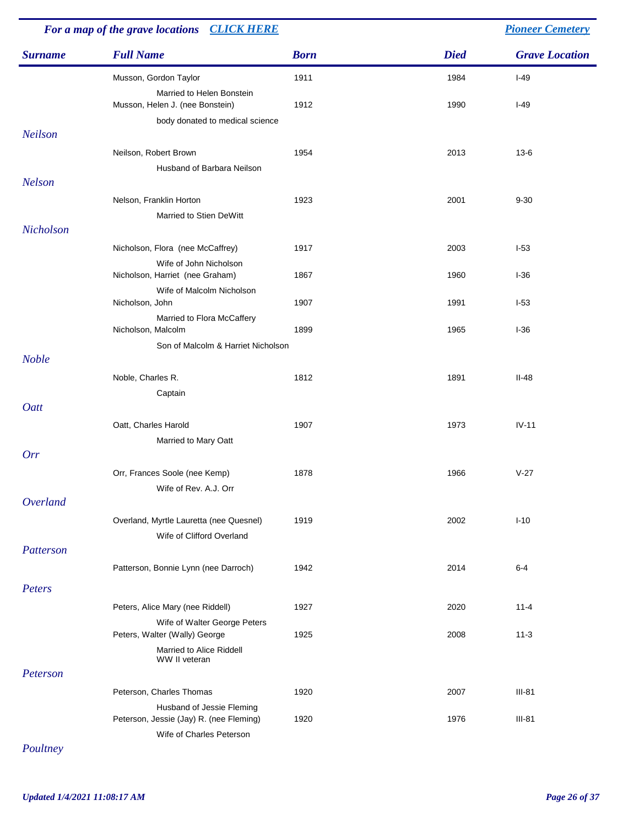| For a map of the grave locations CLICK HERE |                                                                                                  | <b>Pioneer Cemetery</b> |             |                       |
|---------------------------------------------|--------------------------------------------------------------------------------------------------|-------------------------|-------------|-----------------------|
| <b>Surname</b>                              | <b>Full Name</b>                                                                                 | <b>Born</b>             | <b>Died</b> | <b>Grave Location</b> |
|                                             | Musson, Gordon Taylor                                                                            | 1911                    | 1984        | $I-49$                |
|                                             | Married to Helen Bonstein<br>Musson, Helen J. (nee Bonstein)<br>body donated to medical science  | 1912                    | 1990        | $I-49$                |
| <b>Neilson</b>                              |                                                                                                  |                         |             |                       |
|                                             | Neilson, Robert Brown<br>Husband of Barbara Neilson                                              | 1954                    | 2013        | $13 - 6$              |
| <b>Nelson</b>                               |                                                                                                  |                         |             |                       |
|                                             | Nelson, Franklin Horton<br>Married to Stien DeWitt                                               | 1923                    | 2001        | $9 - 30$              |
| Nicholson                                   |                                                                                                  |                         |             |                       |
|                                             | Nicholson, Flora (nee McCaffrey)                                                                 | 1917                    | 2003        | $I-53$                |
|                                             | Wife of John Nicholson<br>Nicholson, Harriet (nee Graham)                                        | 1867                    | 1960        | $I-36$                |
|                                             | Wife of Malcolm Nicholson<br>Nicholson, John                                                     | 1907                    | 1991        | $I-53$                |
|                                             | Married to Flora McCaffery<br>Nicholson, Malcolm                                                 | 1899                    | 1965        | $I-36$                |
| <b>Noble</b>                                | Son of Malcolm & Harriet Nicholson                                                               |                         |             |                       |
|                                             | Noble, Charles R.<br>Captain                                                                     | 1812                    | 1891        | $II-48$               |
| Oatt                                        |                                                                                                  |                         |             |                       |
|                                             | Oatt, Charles Harold                                                                             | 1907                    | 1973        | $IV-11$               |
|                                             | Married to Mary Oatt                                                                             |                         |             |                       |
| Orr                                         |                                                                                                  |                         |             |                       |
|                                             | Orr, Frances Soole (nee Kemp)<br>Wife of Rev. A.J. Orr                                           | 1878                    | 1966        | $V-27$                |
| Overland                                    |                                                                                                  |                         |             |                       |
|                                             | Overland, Myrtle Lauretta (nee Quesnel)<br>Wife of Clifford Overland                             | 1919                    | 2002        | $I-10$                |
| Patterson                                   |                                                                                                  |                         |             |                       |
|                                             | Patterson, Bonnie Lynn (nee Darroch)                                                             | 1942                    | 2014        | $6 - 4$               |
| Peters                                      |                                                                                                  |                         |             |                       |
|                                             | Peters, Alice Mary (nee Riddell)                                                                 | 1927                    | 2020        | $11 - 4$              |
|                                             | Wife of Walter George Peters<br>Peters, Walter (Wally) George                                    | 1925                    | 2008        | $11 - 3$              |
|                                             | Married to Alice Riddell<br>WW II veteran                                                        |                         |             |                       |
| Peterson                                    |                                                                                                  |                         |             |                       |
|                                             | Peterson, Charles Thomas                                                                         | 1920                    | 2007        | $III-81$              |
|                                             | Husband of Jessie Fleming<br>Peterson, Jessie (Jay) R. (nee Fleming)<br>Wife of Charles Peterson | 1920                    | 1976        | $III-81$              |

*Poultney*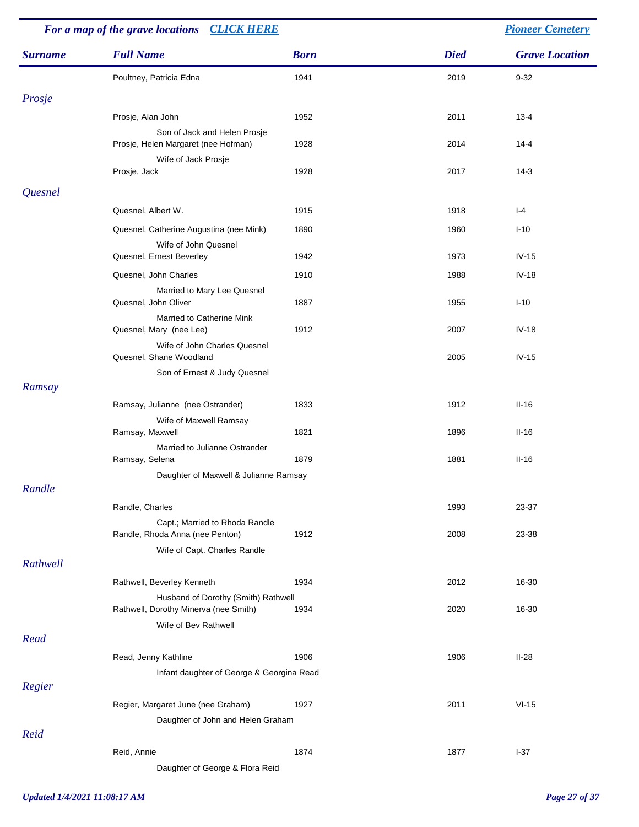| For a map of the grave locations CLICK HERE |                                                                              | <b>Pioneer Cemetery</b> |             |                       |
|---------------------------------------------|------------------------------------------------------------------------------|-------------------------|-------------|-----------------------|
| <b>Surname</b>                              | <b>Full Name</b>                                                             | <b>Born</b>             | <b>Died</b> | <b>Grave Location</b> |
|                                             | Poultney, Patricia Edna                                                      | 1941                    | 2019        | $9 - 32$              |
| Prosje                                      |                                                                              |                         |             |                       |
|                                             | Prosje, Alan John                                                            | 1952                    | 2011        | $13 - 4$              |
|                                             | Son of Jack and Helen Prosje<br>Prosje, Helen Margaret (nee Hofman)          | 1928                    | 2014        | $14 - 4$              |
|                                             | Wife of Jack Prosje<br>Prosje, Jack                                          | 1928                    | 2017        | $14-3$                |
| Quesnel                                     |                                                                              |                         |             |                       |
|                                             | Quesnel, Albert W.                                                           | 1915                    | 1918        | $I - 4$               |
|                                             | Quesnel, Catherine Augustina (nee Mink)                                      | 1890                    | 1960        | $I-10$                |
|                                             | Wife of John Quesnel<br>Quesnel, Ernest Beverley                             | 1942                    | 1973        | $IV-15$               |
|                                             | Quesnel, John Charles                                                        | 1910                    | 1988        | $IV-18$               |
|                                             | Married to Mary Lee Quesnel<br>Quesnel, John Oliver                          | 1887                    | 1955        | $I-10$                |
|                                             | Married to Catherine Mink<br>Quesnel, Mary (nee Lee)                         | 1912                    | 2007        | $IV-18$               |
|                                             | Wife of John Charles Quesnel<br>Quesnel, Shane Woodland                      |                         | 2005        | $IV-15$               |
|                                             | Son of Ernest & Judy Quesnel                                                 |                         |             |                       |
| Ramsay                                      |                                                                              |                         |             |                       |
|                                             | Ramsay, Julianne (nee Ostrander)<br>Wife of Maxwell Ramsay                   | 1833                    | 1912        | $II-16$               |
|                                             | Ramsay, Maxwell                                                              | 1821                    | 1896        | $II-16$               |
|                                             | Married to Julianne Ostrander<br>Ramsay, Selena                              | 1879                    | 1881        | $II-16$               |
|                                             | Daughter of Maxwell & Julianne Ramsay                                        |                         |             |                       |
| Randle                                      |                                                                              |                         |             |                       |
|                                             | Randle, Charles                                                              |                         | 1993        | 23-37                 |
|                                             | Capt.; Married to Rhoda Randle<br>Randle, Rhoda Anna (nee Penton)            | 1912                    | 2008        | 23-38                 |
| Rathwell                                    | Wife of Capt. Charles Randle                                                 |                         |             |                       |
|                                             | Rathwell, Beverley Kenneth                                                   | 1934                    | 2012        | 16-30                 |
|                                             | Husband of Dorothy (Smith) Rathwell<br>Rathwell, Dorothy Minerva (nee Smith) | 1934                    | 2020        | 16-30                 |
|                                             | Wife of Bev Rathwell                                                         |                         |             |                       |
| Read                                        |                                                                              |                         |             |                       |
|                                             | Read, Jenny Kathline                                                         | 1906                    | 1906        | $II-28$               |
|                                             | Infant daughter of George & Georgina Read                                    |                         |             |                       |
| Regier                                      |                                                                              |                         |             |                       |
|                                             | Regier, Margaret June (nee Graham)                                           | 1927                    | 2011        | $VI-15$               |
|                                             | Daughter of John and Helen Graham                                            |                         |             |                       |
| Reid                                        |                                                                              |                         |             |                       |
|                                             | Reid, Annie<br>Daughter of George & Flora Reid                               | 1874                    | 1877        | $I-37$                |
|                                             |                                                                              |                         |             |                       |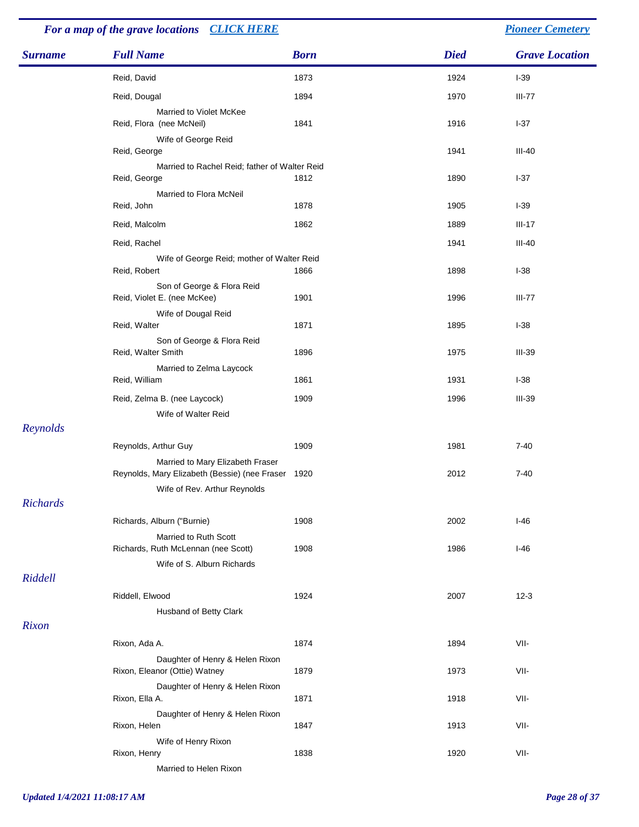## *For a map of the grave locations [CLICK HERE](http://www.leithchurch.ca/cemeterymap.jpg) [Pioneer Cemetery](http://www.leithchurch.ca/Cemetery.htm)*

| <b>Surname</b> | <b>Full Name</b>                                                                                                       | <b>Born</b> | <b>Died</b> | <b>Grave Location</b> |
|----------------|------------------------------------------------------------------------------------------------------------------------|-------------|-------------|-----------------------|
|                | Reid, David                                                                                                            | 1873        | 1924        | $I-39$                |
|                | Reid, Dougal                                                                                                           | 1894        | 1970        | $III-77$              |
|                | Married to Violet McKee<br>Reid, Flora (nee McNeil)                                                                    | 1841        | 1916        | $I-37$                |
|                | Wife of George Reid<br>Reid, George                                                                                    |             | 1941        | III-40                |
|                | Married to Rachel Reid; father of Walter Reid<br>Reid, George                                                          | 1812        | 1890        | $I-37$                |
|                | Married to Flora McNeil<br>Reid, John                                                                                  | 1878        | 1905        | $I-39$                |
|                | Reid, Malcolm                                                                                                          | 1862        | 1889        | $III-17$              |
|                | Reid, Rachel                                                                                                           |             | 1941        | III-40                |
|                | Wife of George Reid; mother of Walter Reid<br>Reid, Robert                                                             | 1866        | 1898        | $I-38$                |
|                | Son of George & Flora Reid<br>Reid, Violet E. (nee McKee)                                                              | 1901        | 1996        | $III-77$              |
|                | Wife of Dougal Reid<br>Reid, Walter                                                                                    | 1871        | 1895        | $I-38$                |
|                | Son of George & Flora Reid<br>Reid, Walter Smith                                                                       | 1896        | 1975        | $III-39$              |
|                | Married to Zelma Laycock<br>Reid, William                                                                              | 1861        | 1931        | $I-38$                |
|                | Reid, Zelma B. (nee Laycock)                                                                                           | 1909        | 1996        | $III-39$              |
| Reynolds       | Wife of Walter Reid                                                                                                    |             |             |                       |
|                | Reynolds, Arthur Guy                                                                                                   | 1909        | 1981        | $7 - 40$              |
|                | Married to Mary Elizabeth Fraser<br>Reynolds, Mary Elizabeth (Bessie) (nee Fraser 1920<br>Wife of Rev. Arthur Reynolds |             | 2012        | $7 - 40$              |
| Richards       |                                                                                                                        |             |             |                       |
|                | Richards, Alburn ("Burnie)<br>Married to Ruth Scott                                                                    | 1908        | 2002        | $I-46$                |
|                | Richards, Ruth McLennan (nee Scott)<br>Wife of S. Alburn Richards                                                      | 1908        | 1986        | $I-46$                |
| Riddell        |                                                                                                                        |             |             |                       |
|                | Riddell, Elwood<br>Husband of Betty Clark                                                                              | 1924        | 2007        | $12 - 3$              |
| Rixon          |                                                                                                                        |             |             |                       |
|                | Rixon, Ada A.                                                                                                          | 1874        | 1894        | VII-                  |
|                | Daughter of Henry & Helen Rixon<br>Rixon, Eleanor (Ottie) Watney                                                       | 1879        | 1973        | VII-                  |
|                | Daughter of Henry & Helen Rixon<br>Rixon, Ella A.                                                                      | 1871        | 1918        | VII-                  |
|                | Daughter of Henry & Helen Rixon<br>Rixon, Helen                                                                        | 1847        | 1913        | VII-                  |
|                | Wife of Henry Rixon<br>Rixon, Henry<br>Married to Helen Rixon                                                          | 1838        | 1920        | VII-                  |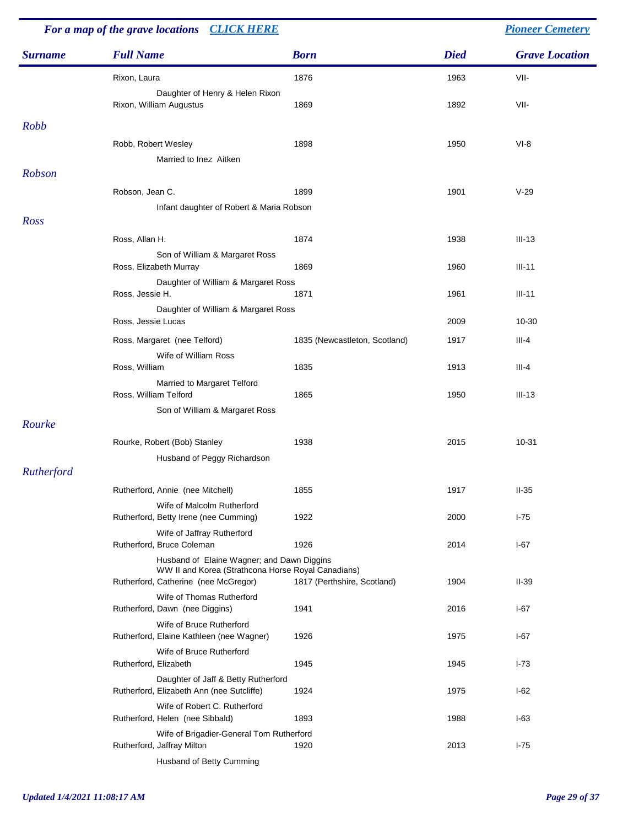| For a map of the grave locations CLICK HERE |                                                                                                                                          |                               |             | <b>Pioneer Cemetery</b> |  |
|---------------------------------------------|------------------------------------------------------------------------------------------------------------------------------------------|-------------------------------|-------------|-------------------------|--|
| <b>Surname</b>                              | <b>Full Name</b>                                                                                                                         | <b>Born</b>                   | <b>Died</b> | <b>Grave Location</b>   |  |
|                                             | Rixon, Laura                                                                                                                             | 1876                          | 1963        | VII-                    |  |
|                                             | Daughter of Henry & Helen Rixon<br>Rixon, William Augustus                                                                               | 1869                          | 1892        | VII-                    |  |
| Robb                                        |                                                                                                                                          |                               |             |                         |  |
|                                             | Robb, Robert Wesley<br>Married to Inez Aitken                                                                                            | 1898                          | 1950        | $VI-8$                  |  |
| Robson                                      |                                                                                                                                          |                               |             |                         |  |
|                                             | Robson, Jean C.                                                                                                                          | 1899                          | 1901        | $V-29$                  |  |
|                                             | Infant daughter of Robert & Maria Robson                                                                                                 |                               |             |                         |  |
| Ross                                        |                                                                                                                                          |                               |             |                         |  |
|                                             | Ross, Allan H.                                                                                                                           | 1874                          | 1938        | $III-13$                |  |
|                                             | Son of William & Margaret Ross<br>Ross, Elizabeth Murray                                                                                 | 1869                          | 1960        | $III-11$                |  |
|                                             | Daughter of William & Margaret Ross<br>Ross, Jessie H.                                                                                   | 1871                          | 1961        | $III-11$                |  |
|                                             | Daughter of William & Margaret Ross<br>Ross, Jessie Lucas                                                                                |                               | 2009        | 10-30                   |  |
|                                             | Ross, Margaret (nee Telford)                                                                                                             | 1835 (Newcastleton, Scotland) | 1917        | $III-4$                 |  |
|                                             | Wife of William Ross                                                                                                                     |                               |             |                         |  |
|                                             | Ross, William                                                                                                                            | 1835                          | 1913        | $III-4$                 |  |
|                                             | Married to Margaret Telford<br>Ross, William Telford                                                                                     | 1865                          | 1950        | $III-13$                |  |
|                                             | Son of William & Margaret Ross                                                                                                           |                               |             |                         |  |
| Rourke                                      |                                                                                                                                          |                               |             |                         |  |
|                                             | Rourke, Robert (Bob) Stanley                                                                                                             | 1938                          | 2015        | 10-31                   |  |
| Rutherford                                  | Husband of Peggy Richardson                                                                                                              |                               |             |                         |  |
|                                             | Rutherford, Annie (nee Mitchell)                                                                                                         | 1855                          | 1917        | $II-35$                 |  |
|                                             | Wife of Malcolm Rutherford<br>Rutherford, Betty Irene (nee Cumming)                                                                      | 1922                          | 2000        | $I-75$                  |  |
|                                             | Wife of Jaffray Rutherford                                                                                                               |                               |             |                         |  |
|                                             | Rutherford, Bruce Coleman                                                                                                                | 1926                          | 2014        | $I-67$                  |  |
|                                             | Husband of Elaine Wagner; and Dawn Diggins<br>WW II and Korea (Strathcona Horse Royal Canadians)<br>Rutherford, Catherine (nee McGregor) | 1817 (Perthshire, Scotland)   | 1904        | $II-39$                 |  |
|                                             | Wife of Thomas Rutherford<br>Rutherford, Dawn (nee Diggins)                                                                              | 1941                          | 2016        | $I-67$                  |  |
|                                             | Wife of Bruce Rutherford<br>Rutherford, Elaine Kathleen (nee Wagner)                                                                     | 1926                          | 1975        | $I-67$                  |  |
|                                             | Wife of Bruce Rutherford<br>Rutherford, Elizabeth                                                                                        | 1945                          | 1945        | $I - 73$                |  |
|                                             | Daughter of Jaff & Betty Rutherford<br>Rutherford, Elizabeth Ann (nee Sutcliffe)                                                         | 1924                          | 1975        | $I-62$                  |  |
|                                             | Wife of Robert C. Rutherford<br>Rutherford, Helen (nee Sibbald)                                                                          | 1893                          | 1988        | $I-63$                  |  |
|                                             | Wife of Brigadier-General Tom Rutherford                                                                                                 |                               |             |                         |  |
|                                             | Rutherford, Jaffray Milton<br>Husband of Betty Cumming                                                                                   | 1920                          | 2013        | $I-75$                  |  |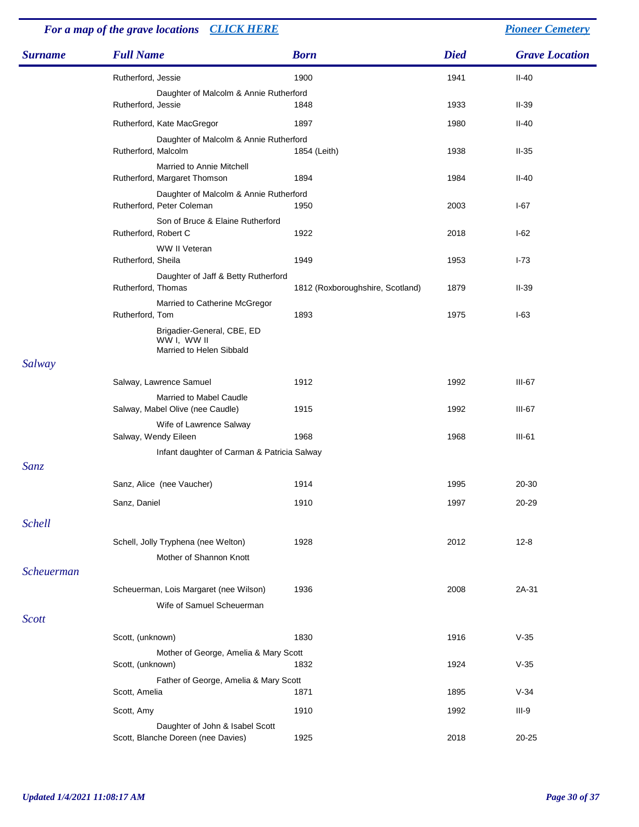| For a map of the grave locations CLICK HERE |                                                                       |                                  |             | <b>Pioneer Cemetery</b> |
|---------------------------------------------|-----------------------------------------------------------------------|----------------------------------|-------------|-------------------------|
| <b>Surname</b>                              | <b>Full Name</b>                                                      | <b>Born</b>                      | <b>Died</b> | <b>Grave Location</b>   |
|                                             | Rutherford, Jessie                                                    | 1900                             | 1941        | $II-40$                 |
|                                             | Daughter of Malcolm & Annie Rutherford<br>Rutherford, Jessie          | 1848                             | 1933        | $II-39$                 |
|                                             | Rutherford, Kate MacGregor                                            | 1897                             | 1980        | $II-40$                 |
|                                             | Daughter of Malcolm & Annie Rutherford                                |                                  |             |                         |
|                                             | Rutherford, Malcolm                                                   | 1854 (Leith)                     | 1938        | $II-35$                 |
|                                             | Married to Annie Mitchell<br>Rutherford, Margaret Thomson             | 1894                             | 1984        | $II-40$                 |
|                                             | Daughter of Malcolm & Annie Rutherford<br>Rutherford, Peter Coleman   | 1950                             | 2003        | I-67                    |
|                                             | Son of Bruce & Elaine Rutherford<br>Rutherford, Robert C              | 1922                             | 2018        | $I-62$                  |
|                                             | WW II Veteran<br>Rutherford, Sheila                                   | 1949                             | 1953        | $I - 73$                |
|                                             | Daughter of Jaff & Betty Rutherford<br>Rutherford, Thomas             | 1812 (Roxboroughshire, Scotland) | 1879        | $II-39$                 |
|                                             | Married to Catherine McGregor<br>Rutherford, Tom                      | 1893                             | 1975        | $I-63$                  |
|                                             | Brigadier-General, CBE, ED<br>WW I, WW II<br>Married to Helen Sibbald |                                  |             |                         |
| Salway                                      |                                                                       |                                  |             |                         |
|                                             | Salway, Lawrence Samuel                                               | 1912                             | 1992        | $III-67$                |
|                                             | Married to Mabel Caudle<br>Salway, Mabel Olive (nee Caudle)           | 1915                             | 1992        | III-67                  |
|                                             | Wife of Lawrence Salway<br>Salway, Wendy Eileen                       | 1968                             | 1968        | $III-61$                |
|                                             | Infant daughter of Carman & Patricia Salway                           |                                  |             |                         |
| <b>Sanz</b>                                 |                                                                       |                                  |             |                         |
|                                             | Sanz, Alice (nee Vaucher)                                             | 1914                             | 1995        | 20-30                   |
|                                             | Sanz, Daniel                                                          | 1910                             | 1997        | 20-29                   |
| <b>Schell</b>                               |                                                                       |                                  |             |                         |
|                                             | Schell, Jolly Tryphena (nee Welton)<br>Mother of Shannon Knott        | 1928                             | 2012        | $12 - 8$                |
| <b>Scheuerman</b>                           |                                                                       |                                  |             |                         |
|                                             | Scheuerman, Lois Margaret (nee Wilson)                                | 1936                             | 2008        | 2A-31                   |
|                                             | Wife of Samuel Scheuerman                                             |                                  |             |                         |
| <b>Scott</b>                                |                                                                       |                                  |             |                         |
|                                             | Scott, (unknown)                                                      | 1830                             | 1916        | $V-35$                  |
|                                             | Mother of George, Amelia & Mary Scott<br>Scott, (unknown)             | 1832                             | 1924        | $V-35$                  |
|                                             | Father of George, Amelia & Mary Scott<br>Scott, Amelia                | 1871                             | 1895        | $V-34$                  |
|                                             | Scott, Amy                                                            | 1910                             | 1992        | $III-9$                 |
|                                             | Daughter of John & Isabel Scott<br>Scott, Blanche Doreen (nee Davies) | 1925                             | 2018        | 20-25                   |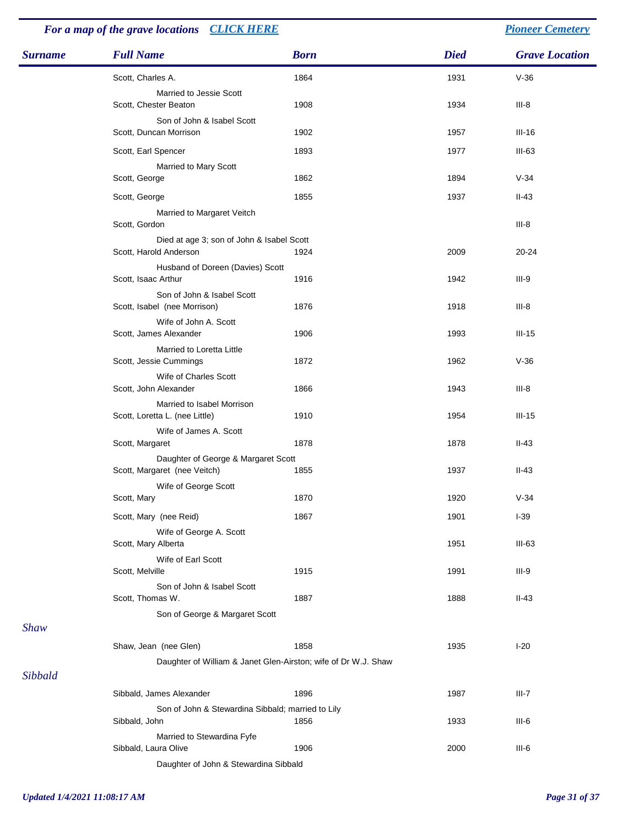## *For a map of the grave locations [CLICK HERE](http://www.leithchurch.ca/cemeterymap.jpg) [Pioneer Cemetery](http://www.leithchurch.ca/Cemetery.htm)*

| <b>Surname</b> | <b>Full Name</b>                                                    | <b>Born</b> | <b>Died</b> | <b>Grave Location</b> |
|----------------|---------------------------------------------------------------------|-------------|-------------|-----------------------|
|                | Scott, Charles A.                                                   | 1864        | 1931        | $V-36$                |
|                | Married to Jessie Scott<br>Scott, Chester Beaton                    | 1908        | 1934        | $III-8$               |
|                | Son of John & Isabel Scott<br>Scott, Duncan Morrison                | 1902        | 1957        | $III-16$              |
|                | Scott, Earl Spencer                                                 | 1893        | 1977        | $III-63$              |
|                | Married to Mary Scott<br>Scott, George                              | 1862        | 1894        | $V-34$                |
|                | Scott, George                                                       | 1855        | 1937        | $II-43$               |
|                | Married to Margaret Veitch<br>Scott, Gordon                         |             |             | $III-8$               |
|                | Died at age 3; son of John & Isabel Scott<br>Scott, Harold Anderson | 1924        | 2009        | $20 - 24$             |
|                | Husband of Doreen (Davies) Scott<br>Scott, Isaac Arthur             | 1916        | 1942        | $III-9$               |
|                | Son of John & Isabel Scott<br>Scott, Isabel (nee Morrison)          | 1876        | 1918        | $III-8$               |
|                | Wife of John A. Scott<br>Scott, James Alexander                     | 1906        | 1993        | $III-15$              |
|                | Married to Loretta Little<br>Scott, Jessie Cummings                 | 1872        | 1962        | $V-36$                |
|                | Wife of Charles Scott<br>Scott, John Alexander                      | 1866        | 1943        | $III-8$               |
|                | Married to Isabel Morrison<br>Scott, Loretta L. (nee Little)        | 1910        | 1954        | $III-15$              |
|                | Wife of James A. Scott<br>Scott, Margaret                           | 1878        | 1878        | $II-43$               |
|                | Daughter of George & Margaret Scott<br>Scott, Margaret (nee Veitch) | 1855        | 1937        | $II-43$               |
|                | Wife of George Scott<br>Scott, Mary                                 | 1870        | 1920        | $V-34$                |
|                | Scott, Mary (nee Reid)                                              | 1867        | 1901        | $I-39$                |
|                | Wife of George A. Scott<br>Scott, Mary Alberta                      |             | 1951        | $III-63$              |
|                | Wife of Earl Scott<br>Scott, Melville                               | 1915        | 1991        | $III-9$               |
|                | Son of John & Isabel Scott<br>Scott, Thomas W.                      | 1887        | 1888        | $II-43$               |
| <b>Shaw</b>    | Son of George & Margaret Scott                                      |             |             |                       |
|                | Shaw, Jean (nee Glen)                                               | 1858        | 1935        | $I-20$                |
| Sibbald        | Daughter of William & Janet Glen-Airston; wife of Dr W.J. Shaw      |             |             |                       |
|                | Sibbald, James Alexander                                            | 1896        | 1987        | $III-7$               |
|                | Son of John & Stewardina Sibbald; married to Lily<br>Sibbald, John  | 1856        | 1933        | $III-6$               |
|                | Married to Stewardina Fyfe<br>Sibbald, Laura Olive                  | 1906        | 2000        | $III-6$               |
|                | Daughter of John & Stewardina Sibbald                               |             |             |                       |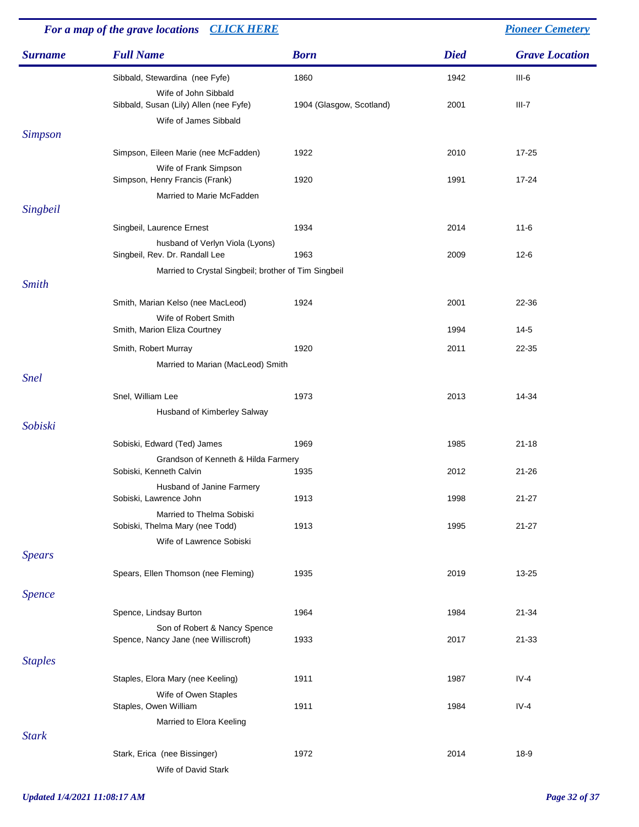|                | For a map of the grave locations CLICK HERE                       |                          |             | <b>Pioneer Cemetery</b> |
|----------------|-------------------------------------------------------------------|--------------------------|-------------|-------------------------|
| <b>Surname</b> | <b>Full Name</b>                                                  | <b>Born</b>              | <b>Died</b> | <b>Grave Location</b>   |
|                | Sibbald, Stewardina (nee Fyfe)                                    | 1860                     | 1942        | $III-6$                 |
|                | Wife of John Sibbald<br>Sibbald, Susan (Lily) Allen (nee Fyfe)    | 1904 (Glasgow, Scotland) | 2001        | $III-7$                 |
| <b>Simpson</b> | Wife of James Sibbald                                             |                          |             |                         |
|                |                                                                   | 1922                     | 2010        | $17 - 25$               |
|                | Simpson, Eileen Marie (nee McFadden)<br>Wife of Frank Simpson     |                          |             |                         |
|                | Simpson, Henry Francis (Frank)                                    | 1920                     | 1991        | 17-24                   |
|                | Married to Marie McFadden                                         |                          |             |                         |
| Singbeil       |                                                                   |                          |             |                         |
|                | Singbeil, Laurence Ernest                                         | 1934                     | 2014        | $11 - 6$                |
|                | husband of Verlyn Viola (Lyons)<br>Singbeil, Rev. Dr. Randall Lee | 1963                     | 2009        | $12-6$                  |
|                | Married to Crystal Singbeil; brother of Tim Singbeil              |                          |             |                         |
| <b>Smith</b>   |                                                                   |                          |             |                         |
|                | Smith, Marian Kelso (nee MacLeod)                                 | 1924                     | 2001        | 22-36                   |
|                | Wife of Robert Smith<br>Smith, Marion Eliza Courtney              |                          | 1994        | $14-5$                  |
|                | Smith, Robert Murray                                              | 1920                     | 2011        | 22-35                   |
|                | Married to Marian (MacLeod) Smith                                 |                          |             |                         |
| <b>Snel</b>    |                                                                   |                          |             |                         |
|                | Snel, William Lee                                                 | 1973                     | 2013        | 14-34                   |
| Sobiski        | Husband of Kimberley Salway                                       |                          |             |                         |
|                | Sobiski, Edward (Ted) James                                       | 1969                     | 1985        | $21 - 18$               |
|                | Grandson of Kenneth & Hilda Farmery<br>Sobiski, Kenneth Calvin    | 1935                     | 2012        | $21 - 26$               |
|                | Husband of Janine Farmery                                         |                          |             |                         |
|                | Sobiski, Lawrence John                                            | 1913                     | 1998        | $21 - 27$               |
|                | Married to Thelma Sobiski<br>Sobiski, Thelma Mary (nee Todd)      | 1913                     | 1995        | $21 - 27$               |
|                | Wife of Lawrence Sobiski                                          |                          |             |                         |
| <b>Spears</b>  |                                                                   |                          |             |                         |
|                | Spears, Ellen Thomson (nee Fleming)                               | 1935                     | 2019        | 13-25                   |
| Spence         |                                                                   |                          |             |                         |
|                | Spence, Lindsay Burton                                            | 1964                     | 1984        | 21-34                   |
|                | Son of Robert & Nancy Spence                                      |                          |             |                         |
|                | Spence, Nancy Jane (nee Williscroft)                              | 1933                     | 2017        | 21-33                   |
| <b>Staples</b> |                                                                   |                          |             |                         |
|                | Staples, Elora Mary (nee Keeling)                                 | 1911                     | 1987        | $IV-4$                  |
|                | Wife of Owen Staples                                              |                          |             |                         |
|                | Staples, Owen William                                             | 1911                     | 1984        | $IV-4$                  |
| <b>Stark</b>   | Married to Elora Keeling                                          |                          |             |                         |
|                | Stark, Erica (nee Bissinger)                                      | 1972                     | 2014        | 18-9                    |
|                | Wife of David Stark                                               |                          |             |                         |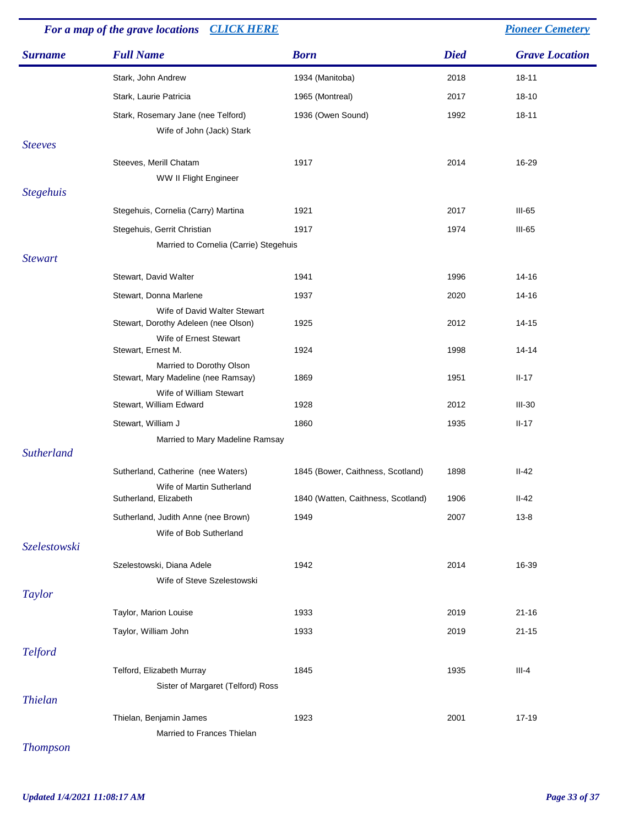|                   | For a map of the grave locations CLICK HERE                          |                                    | <b>Pioneer Cemetery</b> |                       |  |
|-------------------|----------------------------------------------------------------------|------------------------------------|-------------------------|-----------------------|--|
| <b>Surname</b>    | <b>Full Name</b>                                                     | <b>Born</b>                        | <b>Died</b>             | <b>Grave Location</b> |  |
|                   | Stark, John Andrew                                                   | 1934 (Manitoba)                    | 2018                    | $18 - 11$             |  |
|                   | Stark, Laurie Patricia                                               | 1965 (Montreal)                    | 2017                    | 18-10                 |  |
|                   | Stark, Rosemary Jane (nee Telford)                                   | 1936 (Owen Sound)                  | 1992                    | $18 - 11$             |  |
|                   | Wife of John (Jack) Stark                                            |                                    |                         |                       |  |
| <b>Steeves</b>    |                                                                      | 1917                               | 2014                    | 16-29                 |  |
|                   | Steeves, Merill Chatam<br>WW II Flight Engineer                      |                                    |                         |                       |  |
| <b>Stegehuis</b>  |                                                                      |                                    |                         |                       |  |
|                   | Stegehuis, Cornelia (Carry) Martina                                  | 1921                               | 2017                    | $III-65$              |  |
|                   | Stegehuis, Gerrit Christian                                          | 1917                               | 1974                    | $III-65$              |  |
|                   | Married to Cornelia (Carrie) Stegehuis                               |                                    |                         |                       |  |
| <b>Stewart</b>    |                                                                      |                                    |                         |                       |  |
|                   | Stewart, David Walter                                                | 1941                               | 1996                    | 14-16                 |  |
|                   | Stewart, Donna Marlene                                               | 1937                               | 2020                    | 14-16                 |  |
|                   | Wife of David Walter Stewart<br>Stewart, Dorothy Adeleen (nee Olson) | 1925                               | 2012                    | 14-15                 |  |
|                   | Wife of Ernest Stewart<br>Stewart, Ernest M.                         | 1924                               | 1998                    | $14 - 14$             |  |
|                   | Married to Dorothy Olson<br>Stewart, Mary Madeline (nee Ramsay)      | 1869                               | 1951                    | $II-17$               |  |
|                   | Wife of William Stewart<br>Stewart, William Edward                   | 1928                               | 2012                    | $III-30$              |  |
|                   | Stewart, William J                                                   | 1860                               | 1935                    | $II-17$               |  |
|                   | Married to Mary Madeline Ramsay                                      |                                    |                         |                       |  |
| <b>Sutherland</b> |                                                                      |                                    |                         |                       |  |
|                   | Sutherland, Catherine (nee Waters)<br>Wife of Martin Sutherland      | 1845 (Bower, Caithness, Scotland)  | 1898                    | $II-42$               |  |
|                   | Sutherland, Elizabeth                                                | 1840 (Watten, Caithness, Scotland) | 1906                    | $II-42$               |  |
|                   | Sutherland, Judith Anne (nee Brown)                                  | 1949                               | 2007                    | $13 - 8$              |  |
|                   | Wife of Bob Sutherland                                               |                                    |                         |                       |  |
| Szelestowski      |                                                                      |                                    |                         |                       |  |
|                   | Szelestowski, Diana Adele<br>Wife of Steve Szelestowski              | 1942                               | 2014                    | 16-39                 |  |
| <b>Taylor</b>     |                                                                      |                                    |                         |                       |  |
|                   | Taylor, Marion Louise                                                | 1933                               | 2019                    | $21 - 16$             |  |
|                   | Taylor, William John                                                 | 1933                               | 2019                    | $21 - 15$             |  |
| <b>Telford</b>    |                                                                      |                                    |                         |                       |  |
|                   | Telford, Elizabeth Murray                                            | 1845                               | 1935                    | $III-4$               |  |
|                   | Sister of Margaret (Telford) Ross                                    |                                    |                         |                       |  |
| <b>Thielan</b>    |                                                                      |                                    |                         |                       |  |
|                   | Thielan, Benjamin James                                              | 1923                               | 2001                    | 17-19                 |  |
|                   | Married to Frances Thielan                                           |                                    |                         |                       |  |

*Thompson*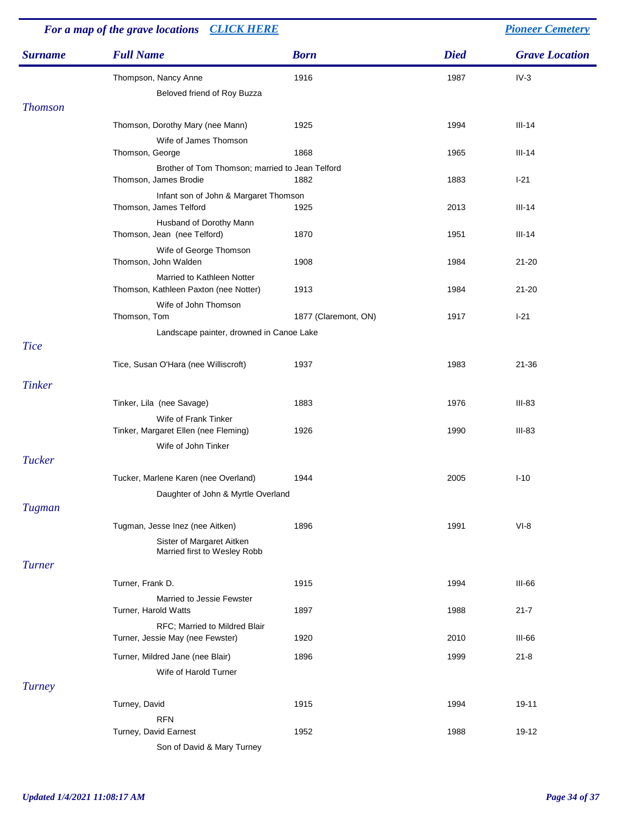| For a map of the grave locations CLICK HERE |                                                                          |                      |             | <b>Pioneer Cemetery</b> |
|---------------------------------------------|--------------------------------------------------------------------------|----------------------|-------------|-------------------------|
| <b>Surname</b>                              | <b>Full Name</b>                                                         | <b>Born</b>          | <b>Died</b> | <b>Grave Location</b>   |
|                                             | Thompson, Nancy Anne                                                     | 1916                 | 1987        | $IV-3$                  |
|                                             | Beloved friend of Roy Buzza                                              |                      |             |                         |
| <b>Thomson</b>                              |                                                                          |                      |             |                         |
|                                             | Thomson, Dorothy Mary (nee Mann)                                         | 1925                 | 1994        | $III-14$                |
|                                             | Wife of James Thomson                                                    |                      |             |                         |
|                                             | Thomson, George                                                          | 1868                 | 1965        | $III-14$                |
|                                             | Brother of Tom Thomson; married to Jean Telford<br>Thomson, James Brodie | 1882                 | 1883        | $I-21$                  |
|                                             | Infant son of John & Margaret Thomson                                    |                      |             |                         |
|                                             | Thomson, James Telford                                                   | 1925                 | 2013        | $III-14$                |
|                                             | Husband of Dorothy Mann<br>Thomson, Jean (nee Telford)                   | 1870                 | 1951        | $III-14$                |
|                                             | Wife of George Thomson<br>Thomson, John Walden                           | 1908                 | 1984        | $21 - 20$               |
|                                             | Married to Kathleen Notter<br>Thomson, Kathleen Paxton (nee Notter)      | 1913                 | 1984        | $21 - 20$               |
|                                             | Wife of John Thomson                                                     |                      |             |                         |
|                                             | Thomson, Tom                                                             | 1877 (Claremont, ON) | 1917        | $I-21$                  |
|                                             | Landscape painter, drowned in Canoe Lake                                 |                      |             |                         |
| <b>Tice</b>                                 |                                                                          |                      |             |                         |
|                                             | Tice, Susan O'Hara (nee Williscroft)                                     | 1937                 | 1983        | 21-36                   |
| <b>Tinker</b>                               |                                                                          |                      |             |                         |
|                                             | Tinker, Lila (nee Savage)                                                | 1883                 | 1976        | $III-83$                |
|                                             | Wife of Frank Tinker<br>Tinker, Margaret Ellen (nee Fleming)             | 1926                 | 1990        | $III-83$                |
|                                             | Wife of John Tinker                                                      |                      |             |                         |
| <b>Tucker</b>                               |                                                                          |                      |             |                         |
|                                             | Tucker, Marlene Karen (nee Overland)                                     | 1944                 | 2005        | $I-10$                  |
|                                             | Daughter of John & Myrtle Overland                                       |                      |             |                         |
| Tugman                                      |                                                                          |                      |             |                         |
|                                             | Tugman, Jesse Inez (nee Aitken)                                          | 1896                 | 1991        | $VI-8$                  |
|                                             | Sister of Margaret Aitken<br>Married first to Wesley Robb                |                      |             |                         |
| <b>Turner</b>                               |                                                                          |                      |             |                         |
|                                             | Turner, Frank D.                                                         | 1915                 | 1994        | $III-66$                |
|                                             | Married to Jessie Fewster<br>Turner, Harold Watts                        | 1897                 | 1988        | $21 - 7$                |
|                                             | RFC; Married to Mildred Blair                                            |                      |             |                         |
|                                             | Turner, Jessie May (nee Fewster)                                         | 1920                 | 2010        | III-66                  |
|                                             | Turner, Mildred Jane (nee Blair)                                         | 1896                 | 1999        | $21 - 8$                |
|                                             | Wife of Harold Turner                                                    |                      |             |                         |
| <b>Turney</b>                               |                                                                          |                      |             |                         |
|                                             | Turney, David                                                            | 1915                 | 1994        | 19-11                   |
|                                             | <b>RFN</b>                                                               |                      |             |                         |
|                                             | Turney, David Earnest                                                    | 1952                 | 1988        | 19-12                   |
|                                             | Son of David & Mary Turney                                               |                      |             |                         |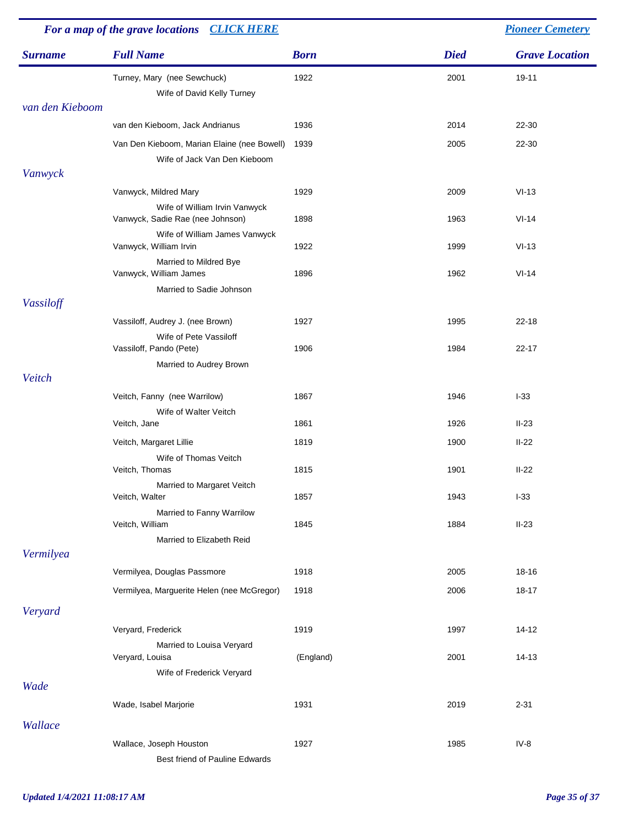|                 | For a map of the grave locations CLICK HERE                       |             |             | <b>Pioneer Cemetery</b> |  |
|-----------------|-------------------------------------------------------------------|-------------|-------------|-------------------------|--|
| <b>Surname</b>  | <b>Full Name</b>                                                  | <b>Born</b> | <b>Died</b> | <b>Grave Location</b>   |  |
|                 | Turney, Mary (nee Sewchuck)<br>Wife of David Kelly Turney         | 1922        | 2001        | 19-11                   |  |
| van den Kieboom |                                                                   |             |             |                         |  |
|                 | van den Kieboom, Jack Andrianus                                   | 1936        | 2014        | 22-30                   |  |
|                 | Van Den Kieboom, Marian Elaine (nee Bowell)                       | 1939        | 2005        | 22-30                   |  |
|                 | Wife of Jack Van Den Kieboom                                      |             |             |                         |  |
| Vanwyck         |                                                                   |             |             |                         |  |
|                 | Vanwyck, Mildred Mary                                             | 1929        | 2009        | $VI-13$                 |  |
|                 | Wife of William Irvin Vanwyck<br>Vanwyck, Sadie Rae (nee Johnson) | 1898        | 1963        | $VI-14$                 |  |
|                 | Wife of William James Vanwyck<br>Vanwyck, William Irvin           | 1922        | 1999        | $VI-13$                 |  |
|                 | Married to Mildred Bye<br>Vanwyck, William James                  | 1896        | 1962        | $VI-14$                 |  |
|                 | Married to Sadie Johnson                                          |             |             |                         |  |
| Vassiloff       |                                                                   |             |             |                         |  |
|                 | Vassiloff, Audrey J. (nee Brown)                                  | 1927        | 1995        | $22 - 18$               |  |
|                 | Wife of Pete Vassiloff<br>Vassiloff, Pando (Pete)                 | 1906        | 1984        | $22 - 17$               |  |
|                 | Married to Audrey Brown                                           |             |             |                         |  |
| Veitch          |                                                                   |             |             |                         |  |
|                 | Veitch, Fanny (nee Warrilow)                                      | 1867        | 1946        | $1-33$                  |  |
|                 | Wife of Walter Veitch                                             | 1861        | 1926        | $II-23$                 |  |
|                 | Veitch, Jane                                                      |             |             |                         |  |
|                 | Veitch, Margaret Lillie<br>Wife of Thomas Veitch                  | 1819        | 1900        | $II-22$                 |  |
|                 | Veitch, Thomas                                                    | 1815        | 1901        | $II-22$                 |  |
|                 | Married to Margaret Veitch<br>Veitch, Walter                      | 1857        | 1943        | $I-33$                  |  |
|                 | Married to Fanny Warrilow<br>Veitch, William                      | 1845        | 1884        | $II-23$                 |  |
| Vermilyea       | Married to Elizabeth Reid                                         |             |             |                         |  |
|                 | Vermilyea, Douglas Passmore                                       | 1918        | 2005        | 18-16                   |  |
|                 |                                                                   |             |             |                         |  |
|                 | Vermilyea, Marguerite Helen (nee McGregor)                        | 1918        | 2006        | 18-17                   |  |
| Veryard         |                                                                   |             |             |                         |  |
|                 | Veryard, Frederick                                                | 1919        | 1997        | $14 - 12$               |  |
|                 | Married to Louisa Veryard<br>Veryard, Louisa                      | (England)   | 2001        | $14-13$                 |  |
|                 | Wife of Frederick Veryard                                         |             |             |                         |  |
| Wade            | Wade, Isabel Marjorie                                             | 1931        | 2019        | $2 - 31$                |  |
| Wallace         |                                                                   |             |             |                         |  |
|                 | Wallace, Joseph Houston<br>Best friend of Pauline Edwards         | 1927        | 1985        | $IV-8$                  |  |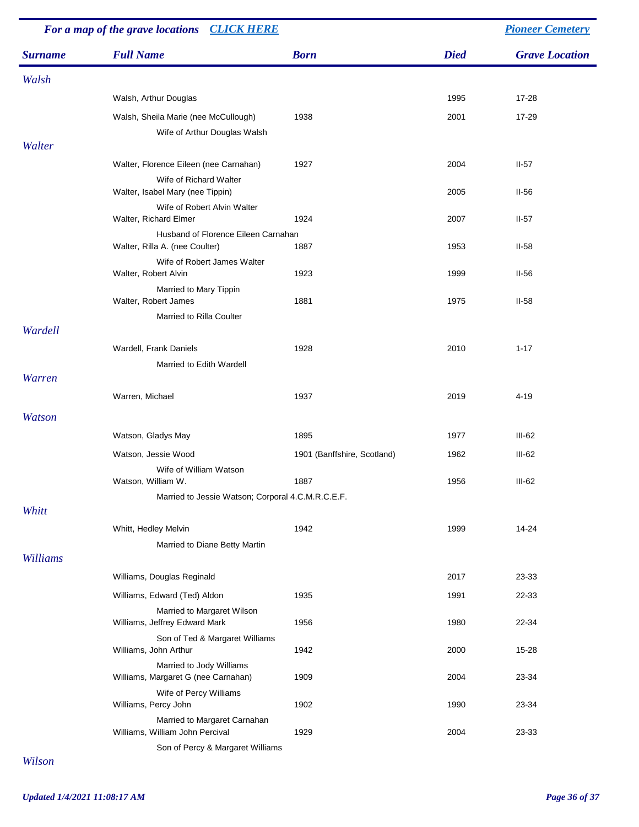| For a map of the grave locations CLICK HERE |                                                                     |                             |             | <b>Pioneer Cemetery</b> |
|---------------------------------------------|---------------------------------------------------------------------|-----------------------------|-------------|-------------------------|
| <b>Surname</b>                              | <b>Full Name</b>                                                    | <b>Born</b>                 | <b>Died</b> | <b>Grave Location</b>   |
| Walsh                                       |                                                                     |                             |             |                         |
|                                             | Walsh, Arthur Douglas                                               |                             | 1995        | 17-28                   |
|                                             | Walsh, Sheila Marie (nee McCullough)                                | 1938                        | 2001        | 17-29                   |
| Walter                                      | Wife of Arthur Douglas Walsh                                        |                             |             |                         |
|                                             | Walter, Florence Eileen (nee Carnahan)                              | 1927                        | 2004        | $II-57$                 |
|                                             | Wife of Richard Walter                                              |                             |             |                         |
|                                             | Walter, Isabel Mary (nee Tippin)                                    |                             | 2005        | $II-56$                 |
|                                             | Wife of Robert Alvin Walter<br>Walter, Richard Elmer                | 1924                        | 2007        | $II-57$                 |
|                                             | Husband of Florence Eileen Carnahan                                 |                             |             |                         |
|                                             | Walter, Rilla A. (nee Coulter)<br>Wife of Robert James Walter       | 1887                        | 1953        | $II-58$                 |
|                                             | Walter, Robert Alvin                                                | 1923                        | 1999        | $II-56$                 |
|                                             | Married to Mary Tippin<br>Walter, Robert James                      | 1881                        | 1975        | $II-58$                 |
|                                             | Married to Rilla Coulter                                            |                             |             |                         |
| Wardell                                     |                                                                     |                             |             |                         |
|                                             | Wardell, Frank Daniels                                              | 1928                        | 2010        | $1 - 17$                |
| <b>Warren</b>                               | Married to Edith Wardell                                            |                             |             |                         |
|                                             | Warren, Michael                                                     | 1937                        | 2019        | 4-19                    |
| <b>Watson</b>                               |                                                                     |                             |             |                         |
|                                             | Watson, Gladys May                                                  | 1895                        | 1977        | $III-62$                |
|                                             | Watson, Jessie Wood                                                 | 1901 (Banffshire, Scotland) | 1962        | $III-62$                |
|                                             | Wife of William Watson                                              |                             |             |                         |
|                                             | Watson, William W.                                                  | 1887                        | 1956        | $III-62$                |
| Whitt                                       | Married to Jessie Watson; Corporal 4.C.M.R.C.E.F.                   |                             |             |                         |
|                                             | Whitt, Hedley Melvin                                                | 1942                        | 1999        | 14-24                   |
|                                             | Married to Diane Betty Martin                                       |                             |             |                         |
| Williams                                    |                                                                     |                             |             |                         |
|                                             | Williams, Douglas Reginald                                          |                             | 2017        | 23-33                   |
|                                             | Williams, Edward (Ted) Aldon                                        | 1935                        | 1991        | 22-33                   |
|                                             | Married to Margaret Wilson<br>Williams, Jeffrey Edward Mark         | 1956                        | 1980        | 22-34                   |
|                                             | Son of Ted & Margaret Williams<br>Williams, John Arthur             | 1942                        | 2000        | 15-28                   |
|                                             | Married to Jody Williams                                            |                             |             |                         |
|                                             | Williams, Margaret G (nee Carnahan)                                 | 1909                        | 2004        | 23-34                   |
|                                             | Wife of Percy Williams<br>Williams, Percy John                      | 1902                        | 1990        | 23-34                   |
|                                             | Married to Margaret Carnahan                                        |                             |             |                         |
|                                             | Williams, William John Percival<br>Son of Percy & Margaret Williams | 1929                        | 2004        | 23-33                   |
|                                             |                                                                     |                             |             |                         |

*Wilson*